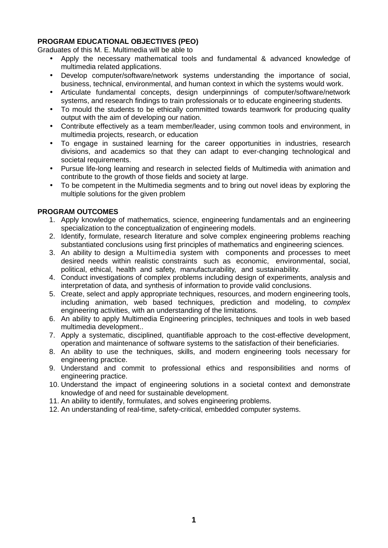# **PROGRAM EDUCATIONAL OBJECTIVES (PEO)**

Graduates of this M. E. Multimedia will be able to

- Apply the necessary mathematical tools and fundamental & advanced knowledge of multimedia related applications.
- Develop computer/software/network systems understanding the importance of social, business, technical, environmental, and human context in which the systems would work.
- Articulate fundamental concepts, design underpinnings of computer/software/network systems, and research findings to train professionals or to educate engineering students.
- To mould the students to be ethically committed towards teamwork for producing quality output with the aim of developing our nation.
- Contribute effectively as a team member/leader, using common tools and environment, in multimedia projects, research, or education
- To engage in sustained learning for the career opportunities in industries, research divisions, and academics so that they can adapt to ever-changing technological and societal requirements.
- Pursue life-long learning and research in selected fields of Multimedia with animation and contribute to the growth of those fields and society at large.
- To be competent in the Multimedia segments and to bring out novel ideas by exploring the multiple solutions for the given problem

# **PROGRAM OUTCOMES**

- 1. Apply knowledge of mathematics, science, engineering fundamentals and an engineering specialization to the conceptualization of engineering models.
- 2. Identify, formulate, research literature and solve complex engineering problems reaching substantiated conclusions using first principles of mathematics and engineering sciences.
- 3. An ability to design a Multimedia system with components and processes to meet desired needs within realistic constraints such as economic, environmental, social, political, ethical, health and safety, manufacturability, and sustainability.
- 4. Conduct investigations of complex problems including design of experiments, analysis and interpretation of data, and synthesis of information to provide valid conclusions.
- 5. Create, select and apply appropriate techniques, resources, and modern engineering tools, including animation, web based techniques, prediction and modeling, to *complex* engineering activities, with an understanding of the limitations.
- 6. An ability to apply Multimedia Engineering principles, techniques and tools in web based multimedia development..
- 7. Apply a systematic, disciplined, quantifiable approach to the cost-effective development, operation and maintenance of software systems to the satisfaction of their beneficiaries.
- 8. An ability to use the techniques, skills, and modern engineering tools necessary for engineering practice.
- 9. Understand and commit to professional ethics and responsibilities and norms of engineering practice.
- 10. Understand the impact of engineering solutions in a societal context and demonstrate knowledge of and need for sustainable development.
- 11. An ability to identify, formulates, and solves engineering problems.
- 12. An understanding of real-time, safety-critical, embedded computer systems.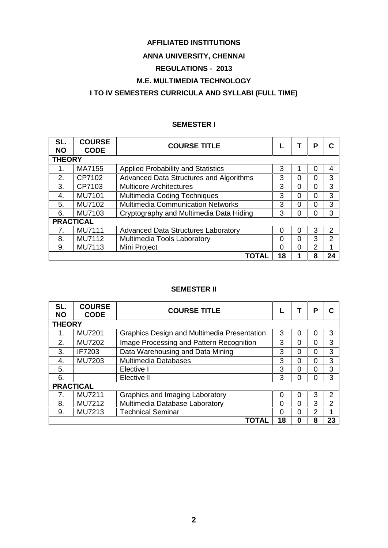# **AFFILIATED INSTITUTIONS**

# **ANNA UNIVERSITY, CHENNAI**

# **REGULATIONS - 2013**

# **M.E. MULTIMEDIA TECHNOLOGY**

# **I TO IV SEMESTERS CURRICULA AND SYLLABI (FULL TIME)**

# **SEMESTER I**

| SL.<br><b>NO</b> | <b>COURSE</b><br><b>CODE</b> | <b>COURSE TITLE</b>                        |          |   | Р | C  |  |  |
|------------------|------------------------------|--------------------------------------------|----------|---|---|----|--|--|
| <b>THEORY</b>    |                              |                                            |          |   |   |    |  |  |
| 1.               | MA7155                       | Applied Probability and Statistics         | 3        |   |   | 4  |  |  |
| 2.               | CP7102                       | Advanced Data Structures and Algorithms    | 3        | 0 | 0 | 3  |  |  |
| 3.               | CP7103                       | <b>Multicore Architectures</b>             | 3        | 0 | 0 | 3  |  |  |
| 4.               | <b>MU7101</b>                | <b>Multimedia Coding Techniques</b>        | 3        | 0 | 0 | 3  |  |  |
| 5.               | MU7102                       | <b>Multimedia Communication Networks</b>   | 3        | 0 | 0 | 3  |  |  |
| 6.               | MU7103                       | Cryptography and Multimedia Data Hiding    | 3        | 0 | 0 | 3  |  |  |
| <b>PRACTICAL</b> |                              |                                            |          |   |   |    |  |  |
|                  | <b>MU7111</b>                | <b>Advanced Data Structures Laboratory</b> | 0        | 0 | 3 | 2  |  |  |
| 8.               | MU7112                       | Multimedia Tools Laboratory                | $\Omega$ | 0 | 3 | 2  |  |  |
| 9.               | MU7113                       | Mini Project                               | 0        | 0 | 2 |    |  |  |
|                  |                              | <b>TOTAL</b>                               | 18       |   | 8 | 24 |  |  |

### **SEMESTER II**

| SL.<br><b>NO</b> | <b>COURSE</b><br><b>CODE</b> | <b>COURSE TITLE</b>                         |    |   | Р             | C  |  |  |
|------------------|------------------------------|---------------------------------------------|----|---|---------------|----|--|--|
| <b>THEORY</b>    |                              |                                             |    |   |               |    |  |  |
|                  | <b>MU7201</b>                | Graphics Design and Multimedia Presentation | 3  | 0 | 0             | 3  |  |  |
| 2.               | <b>MU7202</b>                | Image Processing and Pattern Recognition    | 3  | 0 | 0             | 3  |  |  |
| 3.               | IF7203                       | Data Warehousing and Data Mining            | 3  | 0 | 0             | 3  |  |  |
| 4.               | MU7203                       | <b>Multimedia Databases</b>                 | 3  | 0 | 0             | 3  |  |  |
| 5.               |                              | Elective I                                  | 3  | 0 | 0             | 3  |  |  |
| 6.               |                              | Elective II                                 | 3  | ი | U             | 3  |  |  |
| <b>PRACTICAL</b> |                              |                                             |    |   |               |    |  |  |
|                  | <b>MU7211</b>                | Graphics and Imaging Laboratory             | 0  | 0 | 3             | 2  |  |  |
| 8.               | <b>MU7212</b>                | Multimedia Database Laboratory              | 0  | 0 | 3             | 2  |  |  |
| 9.               | MU7213                       | <b>Technical Seminar</b>                    | 0  | 0 | $\mathcal{P}$ |    |  |  |
|                  |                              | TOTAL                                       | 18 | 0 | 8             | 23 |  |  |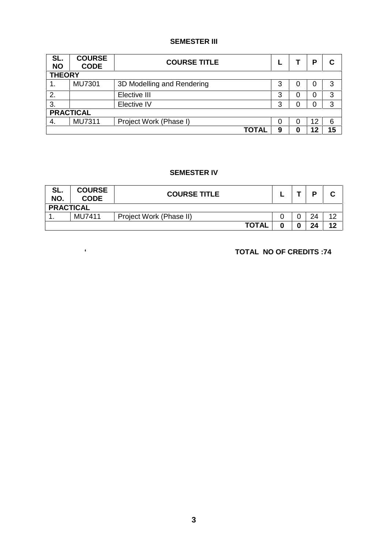# **SEMESTER III**

| SL.<br><b>NO</b> | <b>COURSE</b><br><b>CODE</b> | <b>COURSE TITLE</b>        |   |  | Р  | С  |  |
|------------------|------------------------------|----------------------------|---|--|----|----|--|
| <b>THEORY</b>    |                              |                            |   |  |    |    |  |
| 1.               | <b>MU7301</b>                | 3D Modelling and Rendering | 3 |  | O  | 3  |  |
| 2.               |                              | Elective III               | 3 |  | 0  | 3  |  |
| 3.               |                              | Elective IV                | 3 |  |    | 3  |  |
| <b>PRACTICAL</b> |                              |                            |   |  |    |    |  |
| 4.               | <b>MU7311</b>                | Project Work (Phase I)     | 0 |  | 12 | 6  |  |
|                  |                              | <b>TOTAL</b>               | 9 |  | 12 | 15 |  |

## **SEMESTER IV**

| SL.<br>NO.       | <b>COURSE</b><br><b>CODE</b> | <b>COURSE TITLE</b>     |  |  | D  | ◠<br>u |  |  |
|------------------|------------------------------|-------------------------|--|--|----|--------|--|--|
| <b>PRACTICAL</b> |                              |                         |  |  |    |        |  |  |
|                  | MU7411                       | Project Work (Phase II) |  |  | 24 | 12     |  |  |
|                  |                              | <b>TOTAL</b>            |  |  | 24 | 12     |  |  |

**` TOTAL NO OF CREDITS :74**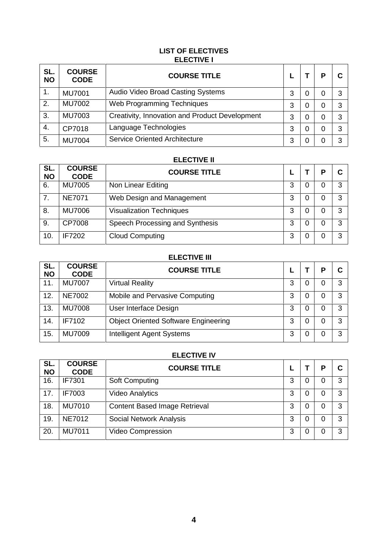# **LIST OF ELECTIVES ELECTIVE I**

| SL.<br><b>NO</b> | <b>COURSE</b><br><b>CODE</b> | <b>COURSE TITLE</b>                            |   |          | D | С |
|------------------|------------------------------|------------------------------------------------|---|----------|---|---|
| 1.               | <b>MU7001</b>                | Audio Video Broad Casting Systems              | 3 | $\Omega$ | 0 | 3 |
| 2.               | <b>MU7002</b>                | Web Programming Techniques                     | 3 | 0        | 0 | 3 |
| 3.               | <b>MU7003</b>                | Creativity, Innovation and Product Development | 3 | 0        | 0 | 3 |
| 4.               | CP7018                       | Language Technologies                          | 3 | 0        | 0 | 3 |
| 5.               | <b>MU7004</b>                | <b>Service Oriented Architecture</b>           | 3 |          | 0 | 3 |

### **ELECTIVE II**

| SL.<br><b>NO</b> | <b>COURSE</b><br><b>CODE</b> | <b>COURSE TITLE</b>             |   |   | P | С |
|------------------|------------------------------|---------------------------------|---|---|---|---|
| 6.               | <b>MU7005</b>                | Non Linear Editing              | 3 | O | 0 | 3 |
| 7.               | <b>NE7071</b>                | Web Design and Management       | 3 | 0 | 0 | 3 |
| 8.               | <b>MU7006</b>                | <b>Visualization Techniques</b> | 3 | 0 | 0 | 3 |
| 9.               | CP7008                       | Speech Processing and Synthesis | 3 | 0 | 0 | 3 |
| 10.              | <b>IF7202</b>                | <b>Cloud Computing</b>          | 3 | 0 | 0 | 3 |

# **ELECTIVE III**

| SL.<br><b>NO</b> | <b>COURSE</b><br><b>CODE</b> | <b>COURSE TITLE</b>                         |   | D | С |
|------------------|------------------------------|---------------------------------------------|---|---|---|
| 11.              | <b>MU7007</b>                | <b>Virtual Reality</b>                      | 3 | 0 | 3 |
| 12.              | <b>NE7002</b>                | Mobile and Pervasive Computing              | 3 | 0 | 3 |
| 13.              | <b>MU7008</b>                | User Interface Design                       | 3 | 0 | 3 |
| 14.              | IF7102                       | <b>Object Oriented Software Engineering</b> | 3 | 0 | 3 |
| 15.              | <b>MU7009</b>                | <b>Intelligent Agent Systems</b>            | 3 | 0 | 3 |

# **ELECTIVE IV**

| SL.<br><b>NO</b> | <b>COURSE</b><br><b>CODE</b> | <b>COURSE TITLE</b>                  |   |   | D | С |
|------------------|------------------------------|--------------------------------------|---|---|---|---|
| 16.              | IF7301                       | <b>Soft Computing</b>                | 3 | 0 | 0 | 3 |
| 17.              | <b>IF7003</b>                | <b>Video Analytics</b>               | 3 | 0 | 0 | 3 |
| 18.              | <b>MU7010</b>                | <b>Content Based Image Retrieval</b> | 3 | 0 | 0 | 3 |
| 19.              | <b>NE7012</b>                | Social Network Analysis              | 3 | 0 | 0 | 3 |
| 20.              | <b>MU7011</b>                | Video Compression                    | 3 | 0 | 0 | 3 |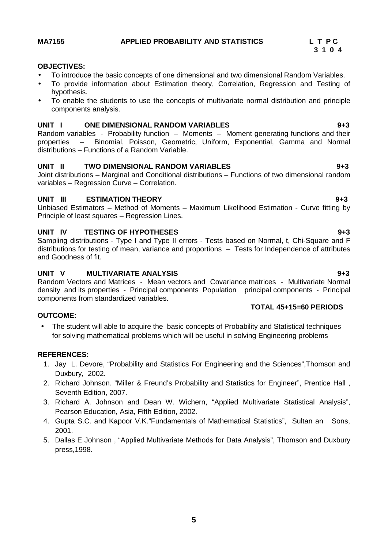- To introduce the basic concepts of one dimensional and two dimensional Random Variables.
- To provide information about Estimation theory, Correlation, Regression and Testing of hypothesis.
- To enable the students to use the concepts of multivariate normal distribution and principle components analysis.

### **UNIT I ONE DIMENSIONAL RANDOM VARIABLES 9+3**

Random variables - Probability function – Moments – Moment generating functions and their properties – Binomial, Poisson, Geometric, Uniform, Exponential, Gamma and Normal distributions – Functions of a Random Variable.

## **UNIT II TWO DIMENSIONAL RANDOM VARIABLES 9+3**

Joint distributions – Marginal and Conditional distributions – Functions of two dimensional random variables – Regression Curve – Correlation.

### **UNIT III ESTIMATION THEORY 9+3**

Unbiased Estimators – Method of Moments – Maximum Likelihood Estimation - Curve fitting by Principle of least squares – Regression Lines.

## **UNIT IV TESTING OF HYPOTHESES 9+3**

Sampling distributions - Type I and Type II errors - Tests based on Normal, t. Chi-Square and F distributions for testing of mean, variance and proportions – Tests for Independence of attributes and Goodness of fit.

### **UNIT V MULTIVARIATE ANALYSIS 9+3**

Random Vectors and Matrices - Mean vectors and Covariance matrices - Multivariate Normal density and its properties - Principal components Population principal components - Principal components from standardized variables.

### **OUTCOME:**

 The student will able to acquire the basic concepts of Probability and Statistical techniques for solving mathematical problems which will be useful in solving Engineering problems

### **REFERENCES:**

- 1. Jay L. Devore, "Probability and Statistics For Engineering and the Sciences",Thomson and Duxbury, 2002.
- 2. Richard Johnson. "Miller & Freund's Probability and Statistics for Engineer", Prentice Hall , Seventh Edition, 2007.
- 3. Richard A. Johnson and Dean W. Wichern, "Applied Multivariate Statistical Analysis", Pearson Education, Asia, Fifth Edition, 2002.
- 4. Gupta S.C. and Kapoor V.K."Fundamentals of Mathematical Statistics", Sultan an Sons, 2001.
- 5. Dallas E Johnson , "Applied Multivariate Methods for Data Analysis", Thomson and Duxbury press,1998.

# **3 1 0 4**

**TOTAL 45+15=60 PERIODS**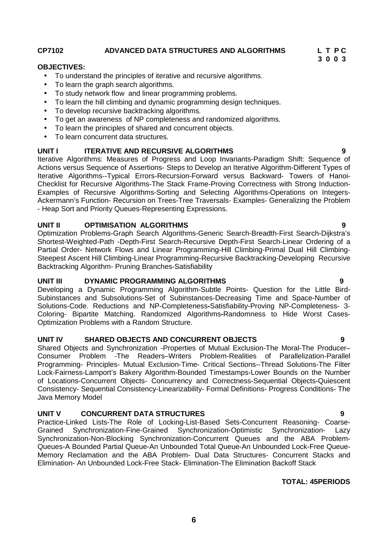**CP7102 ADVANCED DATA STRUCTURES AND ALGORITHMS L T P C**

### **OBJECTIVES:**

- To understand the principles of iterative and recursive algorithms.
- To learn the graph search algorithms.
- To study network flow and linear programming problems.
- To learn the hill climbing and dynamic programming design techniques.
- To develop recursive backtracking algorithms.
- To get an awareness of NP completeness and randomized algorithms.
- To learn the principles of shared and concurrent objects.
- To learn concurrent data structures.

## **UNIT I ITERATIVE AND RECURSIVE ALGORITHMS 9**

Iterative Algorithms: Measures of Progress and Loop Invariants-Paradigm Shift: Sequence of Actions versus Sequence of Assertions- Steps to Develop an Iterative Algorithm-Different Types of Iterative Algorithms--Typical Errors-Recursion-Forward versus Backward- Towers of Hanoi- Checklist for Recursive Algorithms-The Stack Frame-Proving Correctness with Strong Induction- Examples of Recursive Algorithms-Sorting and Selecting Algorithms-Operations on Integers- Ackermann's Function- Recursion on Trees-Tree Traversals- Examples- Generalizing the Problem - Heap Sort and Priority Queues-Representing Expressions.

## **UNIT II OPTIMISATION ALGORITHMS 9**

Optimization Problems-Graph Search Algorithms-Generic Search-Breadth-First Search-Dijkstra's Shortest-Weighted-Path -Depth-First Search-Recursive Depth-First Search-Linear Ordering of a Partial Order- Network Flows and Linear Programming-Hill Climbing-Primal Dual Hill Climbing- Steepest Ascent Hill Climbing-Linear Programming-Recursive Backtracking-Developing Recursive Backtracking Algorithm- Pruning Branches-Satisfiability

### **UNIT III DYNAMIC PROGRAMMING ALGORITHMS 9**

Developing a Dynamic Programming Algorithm-Subtle Points- Question for the Little Bird- Subinstances and Subsolutions-Set of Subinstances-Decreasing Time and Space-Number of Solutions-Code. Reductions and NP-Completeness**-**Satisfiability-Proving NP-Completeness- 3- Coloring- Bipartite Matching. Randomized Algorithms**-**Randomness to Hide Worst Cases- Optimization Problems with a Random Structure.

## **UNIT IV SHARED OBJECTS AND CONCURRENT OBJECTS 9**

Shared Objects and Synchronization -Properties of Mutual Exclusion-The Moral-The Producer– Consumer Problem -The Readers–Writers Problem-Realities of Parallelization-Parallel Programming- Principles- Mutual Exclusion-Time- Critical Sections--Thread Solutions-The Filter Lock-Fairness-Lamport's Bakery Algorithm-Bounded Timestamps-Lower Bounds on the Number of Locations-Concurrent Objects- Concurrency and Correctness-Sequential Objects-Quiescent Consistency- Sequential Consistency-Linearizability- Formal Definitions- Progress Conditions- The Java Memory Model

### **UNIT V CONCURRENT DATA STRUCTURES 9**

Practice-Linked Lists-The Role of Locking-List-Based Sets-Concurrent Reasoning- Coarse- Grained Synchronization-Fine-Grained Synchronization-Optimistic Synchronization- Lazy Synchronization-Non-Blocking Synchronization-Concurrent Queues and the ABA Problem- Queues-A Bounded Partial Queue-An Unbounded Total Queue-An Unbounded Lock-Free Queue- Memory Reclamation and the ABA Problem- Dual Data Structures- Concurrent Stacks and Elimination- An Unbounded Lock-Free Stack- Elimination-The Elimination Backoff Stack

### **TOTAL: 45PERIODS**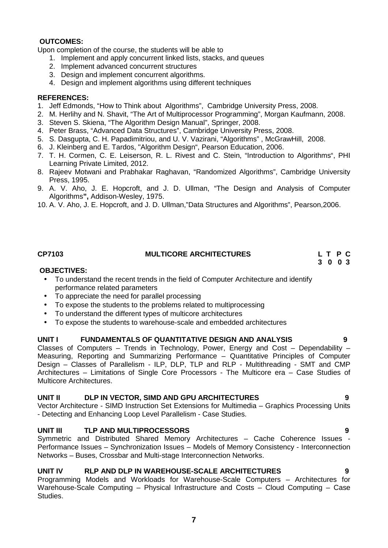Upon completion of the course, the students will be able to

- 1. Implement and apply concurrent linked lists, stacks, and queues
- 2. Implement advanced concurrent structures
- 3. Design and implement concurrent algorithms.
- 4. Design and implement algorithms using different techniques

### **REFERENCES:**

- 1. Jeff Edmonds, "How to Think about Algorithms", Cambridge University Press, 2008.
- 2. M. Herlihy and N. Shavit, "The Art of Multiprocessor Programming", Morgan Kaufmann, 2008.
- 3. Steven S. Skiena, "The Algorithm Design Manual", Springer, 2008.
- 4. Peter Brass, "Advanced Data Structures", Cambridge University Press, 2008.
- 5. S. Dasgupta, C. H. Papadimitriou, and U. V. Vazirani, "Algorithms" , McGrawHill, 2008.
- 6. J. Kleinberg and E. Tardos, "Algorithm Design", Pearson Education, 2006.
- 7. T. H. Cormen, C. E. Leiserson, R. L. Rivest and C. Stein, "Introduction to Algorithms", PHI Learning Private Limited, 2012.
- 8. Rajeev Motwani and Prabhakar Raghavan, "Randomized Algorithms", Cambridge University Press, 1995.
- 9. A. V. Aho, J. E. Hopcroft, and J. D. Ullman, "The Design and Analysis of Computer Algorithms**",** Addison-Wesley, 1975.
- 10. A. V. Aho, J. E. Hopcroft, and J. D. Ullman,"Data Structures and Algorithms", Pearson,2006.

## **CP7103 MULTICORE ARCHITECTURES L T P C**

**3 0 0 3**

### **OBJECTIVES:**

- To understand the recent trends in the field of Computer Architecture and identify performance related parameters
- To appreciate the need for parallel processing
- To expose the students to the problems related to multiprocessing
- To understand the different types of multicore architectures
- To expose the students to warehouse-scale and embedded architectures

### **UNIT I FUNDAMENTALS OF QUANTITATIVE DESIGN AND ANALYSIS 9**

Classes of Computers – Trends in Technology, Power, Energy and Cost – Dependability – Measuring, Reporting and Summarizing Performance – Quantitative Principles of Computer Design – Classes of Parallelism - ILP, DLP, TLP and RLP - Multithreading - SMT and CMP Architectures – Limitations of Single Core Processors - The Multicore era – Case Studies of Multicore Architectures.

### **UNIT II DLP IN VECTOR, SIMD AND GPU ARCHITECTURES 9**

Vector Architecture - SIMD Instruction Set Extensions for Multimedia – Graphics Processing Units - Detecting and Enhancing Loop Level Parallelism - Case Studies.

### **UNIT III TLP AND MULTIPROCESSORS 9**

Symmetric and Distributed Shared Memory Architectures – Cache Coherence Issues - Performance Issues – Synchronization Issues – Models of Memory Consistency - Interconnection Networks – Buses, Crossbar and Multi-stage Interconnection Networks.

### **UNIT IV RLP AND DLP IN WAREHOUSE-SCALE ARCHITECTURES 9**

Programming Models and Workloads for Warehouse-Scale Computers – Architectures for Warehouse-Scale Computing – Physical Infrastructure and Costs – Cloud Computing – Case Studies.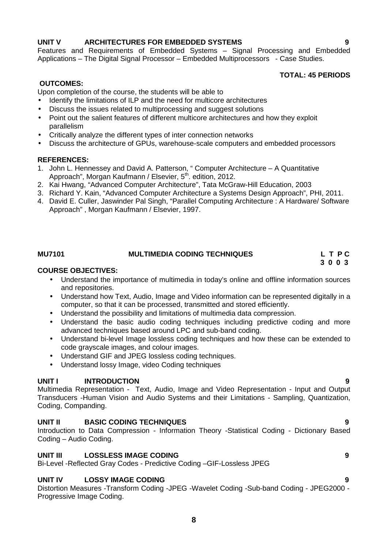### Features and Requirements of Embedded Systems – Signal Processing and Embedded Applications – The Digital Signal Processor – Embedded Multiprocessors - Case Studies.

### **TOTAL: 45 PERIODS**

# **OUTCOMES:**

Upon completion of the course, the students will be able to

- Identify the limitations of ILP and the need for multicore architectures
- Discuss the issues related to multiprocessing and suggest solutions
- Point out the salient features of different multicore architectures and how they exploit parallelism
- Critically analyze the different types of inter connection networks
- Discuss the architecture of GPUs, warehouse-scale computers and embedded processors

### **REFERENCES:**

- 1. John L. Hennessey and David A. Patterson, " Computer Architecture A Quantitative Approach", Morgan Kaufmann / Elsevier, 5<sup>th</sup>. edition, 2012.
- 2. Kai Hwang, "Advanced Computer Architecture", Tata McGraw-Hill Education, 2003
- 3. Richard Y. Kain, "Advanced Computer Architecture a Systems Design Approach", PHI, 2011.
- 4. David E. Culler, Jaswinder Pal Singh, "Parallel Computing Architecture : A Hardware/ Software Approach" , Morgan Kaufmann / Elsevier, 1997.

### **MU7101 MULTIMEDIA CODING TECHNIQUES L T P C**

**3 0 0 3**

### **COURSE OBJECTIVES:**

- Understand the importance of multimedia in today's online and offline information sources and repositories.
- Understand how Text, Audio, Image and Video information can be represented digitally in a computer, so that it can be processed, transmitted and stored efficiently.
- Understand the possibility and limitations of multimedia data compression.
- Understand the basic audio coding techniques including predictive coding and more advanced techniques based around LPC and sub-band coding.
- Understand bi-level Image lossless coding techniques and how these can be extended to code grayscale images, and colour images.
- Understand GIF and JPEG lossless coding techniques.
- Understand lossy Image, video Coding techniques

## **UNIT I INTRODUCTION 9**

Multimedia Representation - Text, Audio, Image and Video Representation - Input and Output Transducers -Human Vision and Audio Systems and their Limitations - Sampling, Quantization, Coding, Companding.

### **UNIT II BASIC CODING TECHNIQUES 9**

Introduction to Data Compression - Information Theory -Statistical Coding - Dictionary Based Coding – Audio Coding.

### **UNIT III LOSSLESS IMAGE CODING 9**

Bi-Level -Reflected Gray Codes - Predictive Coding –GIF-Lossless JPEG

### **UNIT IV LOSSY IMAGE CODING 9**

Distortion Measures -Transform Coding -JPEG -Wavelet Coding -Sub-band Coding - JPEG2000 - Progressive Image Coding.

**8**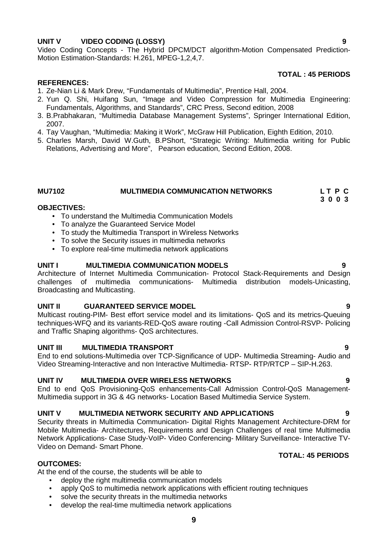# **UNIT V VIDEO CODING (LOSSY) 9**

Video Coding Concepts - The Hybrid DPCM/DCT algorithm-Motion Compensated Prediction- Motion Estimation-Standards: H.261, MPEG-1,2,4,7.

### **TOTAL : 45 PERIODS**

**3 0 0 3**

### **REFERENCES:**

- 1. Ze-Nian Li & Mark Drew, "Fundamentals of Multimedia", Prentice Hall, 2004.
- 2. Yun Q. Shi, Huifang Sun, "Image and Video Compression for Multimedia Engineering: Fundamentals, Algorithms, and Standards", CRC Press, Second edition, 2008
- 3. B.Prabhakaran, "Multimedia Database Management Systems", Springer International Edition, 2007.
- 4. Tay Vaughan, "Multimedia: Making it Work", McGraw Hill Publication, Eighth Edition, 2010.
- 5. Charles Marsh, David W.Guth, B.PShort, "Strategic Writing: Multimedia writing for Public Relations, Advertising and More", Pearson education, Second Edition, 2008.

# **MU7102 MULTIMEDIA COMMUNICATION NETWORKS L T P C**

### **OBJECTIVES:**

- To understand the Multimedia Communication Models
- To analyze the Guaranteed Service Model
- To study the Multimedia Transport in Wireless Networks
- To solve the Security issues in multimedia networks
- To explore real-time multimedia network applications

### **UNIT I MULTIMEDIA COMMUNICATION MODELS 9**

Architecture of Internet Multimedia Communication- Protocol Stack-Requirements and Design challenges of multimedia communications- Multimedia distribution models-Unicasting, Broadcasting and Multicasting.

### **UNIT II GUARANTEED SERVICE MODEL 9**

Multicast routing-PIM- Best effort service model and its limitations- QoS and its metrics-Queuing techniques-WFQ and its variants-RED-QoS aware routing -Call Admission Control-RSVP- Policing and Traffic Shaping algorithms- QoS architectures.

### **UNIT III MULTIMEDIA TRANSPORT 9**

End to end solutions-Multimedia over TCP-Significance of UDP- Multimedia Streaming- Audio and Video Streaming-Interactive and non Interactive Multimedia- RTSP- RTP/RTCP - SIP-H.263.

### **UNIT IV MULTIMEDIA OVER WIRELESS NETWORKS 9**

End to end QoS Provisioning-QoS enhancements-Call Admission Control-QoS Management- Multimedia support in 3G & 4G networks- Location Based Multimedia Service System.

### **UNIT V MULTIMEDIA NETWORK SECURITY AND APPLICATIONS 9**

Security threats in Multimedia Communication- Digital Rights Management Architecture-DRM for Mobile Multimedia- Architectures, Requirements and Design Challenges of real time Multimedia Network Applications- Case Study-VoIP- Video Conferencing- Military Surveillance- Interactive TV- Video on Demand- Smart Phone.

### **OUTCOMES:**

At the end of the course, the students will be able to

- deploy the right multimedia communication models
- apply QoS to multimedia network applications with efficient routing techniques
- solve the security threats in the multimedia networks
- develop the real-time multimedia network applications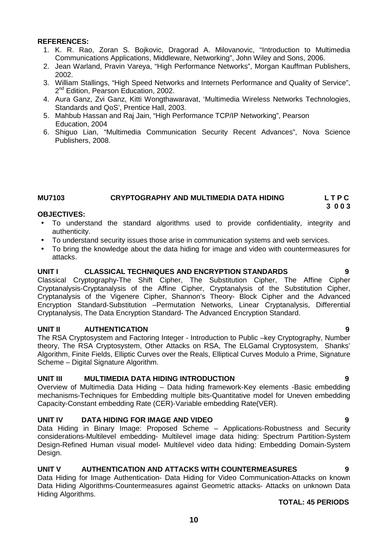- 1. K. R. Rao, Zoran S. Bojkovic, Dragorad A. Milovanovic, "Introduction to Multimedia Communications Applications, Middleware, Networking", John Wiley and Sons, 2006.
- 2. Jean Warland, Pravin Vareya, "High Performance Networks", Morgan Kauffman Publishers, 2002.
- 3. William Stallings, "High Speed Networks and Internets Performance and Quality of Service", 2<sup>nd</sup> Edition, Pearson Education, 2002.
- 4. Aura Ganz, Zvi Ganz, Kitti Wongthawaravat, 'Multimedia Wireless Networks Technologies, Standards and QoS', Prentice Hall, 2003.
- 5. Mahbub Hassan and Raj Jain, "High Performance TCP/IP Networking", Pearson Education, 2004
- 6. Shiguo Lian, "Multimedia Communication Security Recent Advances", Nova Science Publishers, 2008.

### **MU7103 CRYPTOGRAPHY AND MULTIMEDIA DATA HIDING L T P C 3 0 0 3**

### **OBJECTIVES:**

- To understand the standard algorithms used to provide confidentiality, integrity and authenticity.
- To understand security issues those arise in communication systems and web services.
- To bring the knowledge about the data hiding for image and video with countermeasures for attacks.

### **UNIT I CLASSICAL TECHNIQUES AND ENCRYPTION STANDARDS 9**

Classical Cryptography-The Shift Cipher, The Substitution Cipher, The Affine Cipher Cryptanalysis-Cryptanalysis of the Affine Cipher, Cryptanalysis of the Substitution Cipher, Cryptanalysis of the Vigenere Cipher, Shannon's Theory- Block Cipher and the Advanced Encryption Standard-Substitution –Permutation Networks, Linear Cryptanalysis, Differential Cryptanalysis, The Data Encryption Standard- The Advanced Encryption Standard.

### **UNIT II AUTHENTICATION 9**

The RSA Cryptosystem and Factoring Integer - Introduction to Public –key Cryptography, Number theory, The RSA Cryptosystem, Other Attacks on RSA, The ELGamal Cryptosystem, Shanks' Algorithm, Finite Fields, Elliptic Curves over the Reals, Elliptical Curves Modulo a Prime, Signature Scheme – Digital Signature Algorithm.

### **UNIT III MULTIMEDIA DATA HIDING INTRODUCTION 9**

Overview of Multimedia Data Hiding – Data hiding framework-Key elements -Basic embedding mechanisms-Techniques for Embedding multiple bits-Quantitative model for Uneven embedding Capacity-Constant embedding Rate (CER)-Variable embedding Rate(VER).

### **UNIT IV DATA HIDING FOR IMAGE AND VIDEO 9**

Data Hiding in Binary Image: Proposed Scheme – Applications-Robustness and Security considerations-Multilevel embedding- Multilevel image data hiding: Spectrum Partition-System Design-Refined Human visual model- Multilevel video data hiding: Embedding Domain-System Design.

### **UNIT V AUTHENTICATION AND ATTACKS WITH COUNTERMEASURES 9**

Data Hiding for Image Authentication- Data Hiding for Video Communication-Attacks on known Data Hiding Algorithms-Countermeasures against Geometric attacks- Attacks on unknown Data Hiding Algorithms.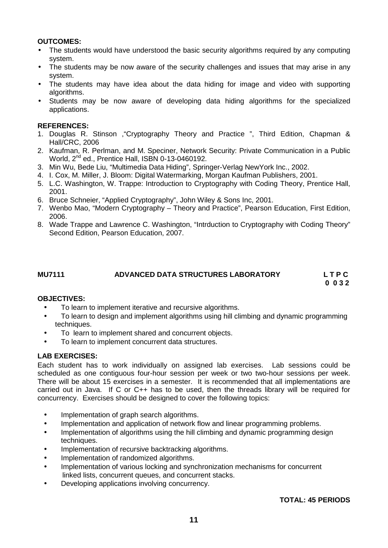- The students would have understood the basic security algorithms required by any computing system.
- The students may be now aware of the security challenges and issues that may arise in any system.
- The students may have idea about the data hiding for image and video with supporting algorithms.
- Students may be now aware of developing data hiding algorithms for the specialized applications.

### **REFERENCES:**

- 1. Douglas R. Stinson ,"Cryptography Theory and Practice ", Third Edition, Chapman & Hall/CRC, 2006
- 2. Kaufman, R. Perlman, and M. Speciner, Network Security: Private Communication in a Public World, 2<sup>nd</sup> ed., Prentice Hall, ISBN 0-13-0460192.
- 3. Min Wu, Bede Liu, "Multimedia Data Hiding", Springer-Verlag NewYork Inc., 2002.
- 4. I. Cox, M. Miller, J. Bloom: Digital Watermarking, Morgan Kaufman Publishers, 2001.
- 5. L.C. Washington, W. Trappe: Introduction to Cryptography with Coding Theory, Prentice Hall, 2001.
- 6. Bruce Schneier, "Applied Cryptography", John Wiley & Sons Inc, 2001.
- 7. Wenbo Mao, "Modern Cryptography Theory and Practice", Pearson Education, First Edition, 2006.
- 8. Wade Trappe and Lawrence C. Washington, "Intrduction to Cryptography with Coding Theory" Second Edition, Pearson Education, 2007.

### **MU7111 ADVANCED DATA STRUCTURES LABORATORY L T P C 0 0 3 2**

### **OBJECTIVES:**

- To learn to implement iterative and recursive algorithms.
- To learn to design and implement algorithms using hill climbing and dynamic programming techniques.
- To learn to implement shared and concurrent objects.
- To learn to implement concurrent data structures.

### **LAB EXERCISES:**

Each student has to work individually on assigned lab exercises. Lab sessions could be scheduled as one contiguous four-hour session per week or two two-hour sessions per week. There will be about 15 exercises in a semester. It is recommended that all implementations are carried out in Java. If C or C++ has to be used, then the threads library will be required for concurrency. Exercises should be designed to cover the following topics:

- Implementation of graph search algorithms.
- Implementation and application of network flow and linear programming problems.
- Implementation of algorithms using the hill climbing and dynamic programming design techniques.
- Implementation of recursive backtracking algorithms.
- Implementation of randomized algorithms.
- Implementation of various locking and synchronization mechanisms for concurrent linked lists, concurrent queues, and concurrent stacks.
- Developing applications involving concurrency.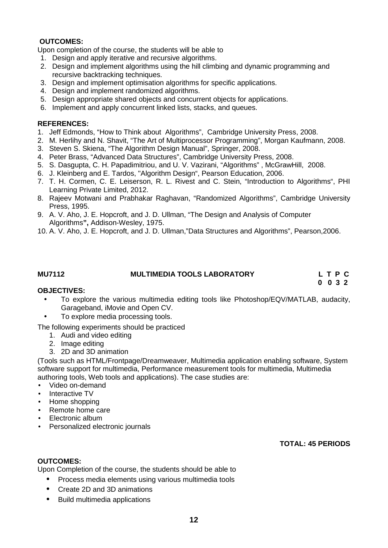Upon completion of the course, the students will be able to

- 1. Design and apply iterative and recursive algorithms.
- 2. Design and implement algorithms using the hill climbing and dynamic programming and recursive backtracking techniques.
- 3. Design and implement optimisation algorithms for specific applications.
- 4. Design and implement randomized algorithms.
- 5. Design appropriate shared objects and concurrent objects for applications.
- 6. Implement and apply concurrent linked lists, stacks, and queues.

### **REFERENCES:**

- 1. Jeff Edmonds, "How to Think about Algorithms", Cambridge University Press, 2008.
- 2. M. Herlihy and N. Shavit, "The Art of Multiprocessor Programming", Morgan Kaufmann, 2008.
- 3. Steven S. Skiena, "The Algorithm Design Manual", Springer, 2008.
- 4. Peter Brass, "Advanced Data Structures", Cambridge University Press, 2008.
- 5. S. Dasgupta, C. H. Papadimitriou, and U. V. Vazirani, "Algorithms" , McGrawHill, 2008.
- 6. J. Kleinberg and E. Tardos, "Algorithm Design", Pearson Education, 2006.
- 7. T. H. Cormen, C. E. Leiserson, R. L. Rivest and C. Stein, "Introduction to Algorithms", PHI Learning Private Limited, 2012.
- 8. Rajeev Motwani and Prabhakar Raghavan, "Randomized Algorithms", Cambridge University Press, 1995.
- 9. A. V. Aho, J. E. Hopcroft, and J. D. Ullman, "The Design and Analysis of Computer Algorithms**",** Addison-Wesley, 1975.
- 10. A. V. Aho, J. E. Hopcroft, and J. D. Ullman,"Data Structures and Algorithms", Pearson,2006.

**MU7112 MULTIMEDIA TOOLS LABORATORY L T P C**

**0 0 3 2**

### **OBJECTIVES:**

- To explore the various multimedia editing tools like Photoshop/EQV/MATLAB, audacity, Garageband, iMovie and Open CV.
	- To explore media processing tools.

The following experiments should be practiced

- 1. Audi and video editing
- 2. Image editing
- 3. 2D and 3D animation

(Tools such as HTML/Frontpage/Dreamweaver, Multimedia application enabling software, System software support for multimedia, Performance measurement tools for multimedia, Multimedia authoring tools, Web tools and applications). The case studies are:

- Video on-demand
- Interactive TV
- Home shopping
- Remote home care
- Electronic album
- Personalized electronic journals

**TOTAL: 45 PERIODS**

### **OUTCOMES:**

Upon Completion of the course, the students should be able to

- Process media elements using various multimedia tools
- Create 2D and 3D animations
- Build multimedia applications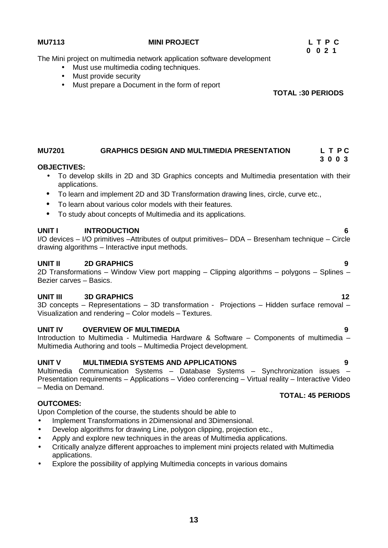### **MU7113 MINI PROJECT L T P C**

The Mini project on multimedia network application software development

- Must use multimedia coding techniques.
- Must provide security
- Must prepare a Document in the form of report

**TOTAL :30 PERIODS**

**0 0 2 1**

### **MU7201 GRAPHICS DESIGN AND MULTIMEDIA PRESENTATION L T P C 3 0 0 3**

### **OBJECTIVES:**

- To develop skills in 2D and 3D Graphics concepts and Multimedia presentation with their applications.
- To learn and implement 2D and 3D Transformation drawing lines, circle, curve etc.,
- To learn about various color models with their features.
- To study about concepts of Multimedia and its applications.

## **UNIT I INTRODUCTION 6**

I/O devices – I/O primitives –Attributes of output primitives– DDA – Bresenham technique – Circle drawing algorithms – Interactive input methods.

### **UNIT II 2D GRAPHICS 9**

2D Transformations – Window View port mapping – Clipping algorithms – polygons – Splines – Bezier carves – Basics.

### **UNIT III 3D GRAPHICS 12**

3D concepts – Representations – 3D transformation - Projections – Hidden surface removal – Visualization and rendering – Color models – Textures.

### **UNIT IV OVERVIEW OF MULTIMEDIA 9**

Introduction to Multimedia - Multimedia Hardware & Software – Components of multimedia – Multimedia Authoring and tools – Multimedia Project development.

### **UNIT V MULTIMEDIA SYSTEMS AND APPLICATIONS 9**

Multimedia Communication Systems – Database Systems – Synchronization issues – Presentation requirements – Applications – Video conferencing – Virtual reality – Interactive Video – Media on Demand.

# **OUTCOMES:**

Upon Completion of the course, the students should be able to

- Implement Transformations in 2Dimensional and 3Dimensional.
- Develop algorithms for drawing Line, polygon clipping, projection etc.,
- Apply and explore new techniques in the areas of Multimedia applications.
- Critically analyze different approaches to implement mini projects related with Multimedia applications.
- Explore the possibility of applying Multimedia concepts in various domains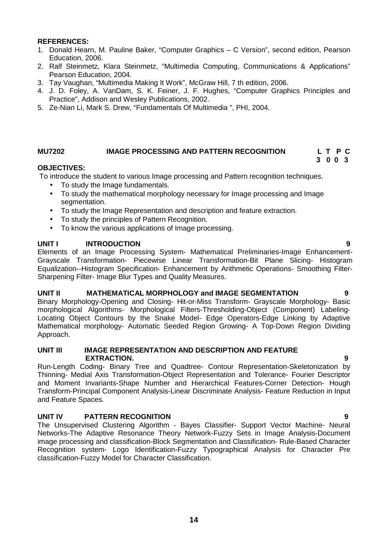- 1. Donald Hearn, M. Pauline Baker, "Computer Graphics C Version", second edition, Pearson Education, 2006.
- 2. Ralf Steinmetz, Klara Steinmetz, "Multimedia Computing, Communications & Applications" Pearson Education, 2004.
- 3. Tay Vaughan, "Multimedia Making It Work", McGraw Hill, 7 th edition, 2006.
- 4. J. D. Foley, A. VanDam, S. K. Feiner, J. F. Hughes, "Computer Graphics Principles and Practice", Addison and Wesley Publications, 2002.
- 5. Ze-Nian Li, Mark S. Drew, "Fundamentals Of Multimedia ", PHI, 2004.

### **MU7202 IMAGE PROCESSING AND PATTERN RECOGNITION L T P C**

**3 0 0 3**

### **OBJECTIVES:**

To introduce the student to various Image processing and Pattern recognition techniques.

- To study the Image fundamentals.
- To study the mathematical morphology necessary for Image processing and Image segmentation.
- To study the Image Representation and description and feature extraction.
- To study the principles of Pattern Recognition.
- To know the various applications of Image processing.

### **UNIT I INTRODUCTION 9**

Elements of an Image Processing System- Mathematical Preliminaries-Image Enhancement- Grayscale Transformation- Piecewise Linear Transformation-Bit Plane Slicing- Histogram Equalization--Histogram Specification- Enhancement by Arithmetic Operations- Smoothing Filter- Sharpening Filter- Image Blur Types and Quality Measures.

### **UNIT II MATHEMATICAL MORPHOLOGY and IMAGE SEGMENTATION 9**

Binary Morphology-Opening and Closing- Hit-or-Miss Transform- Grayscale Morphology- Basic morphological Algorithms- Morphological Filters-Thresholding-Object (Component) Labeling- Locating Object Contours by the Snake Model- Edge Operators-Edge Linking by Adaptive Mathematical morphology- Automatic Seeded Region Growing- A Top-Down Region Dividing Approach.

### **UNIT III IMAGE REPRESENTATION AND DESCRIPTION AND FEATURE EXTRACTION. 9**

Run-Length Coding- Binary Tree and Quadtree- Contour Representation-Skeletonization by Thinning- Medial Axis Transformation-Object Representation and Tolerance- Fourier Descriptor and Moment Invariants-Shape Number and Hierarchical Features-Corner Detection- Hough Transform-Principal Component Analysis-Linear Discriminate Analysis- Feature Reduction in Input and Feature Spaces.

### **UNIT IV PATTERN RECOGNITION 9**

The Unsupervised Clustering Algorithm - Bayes Classifier- Support Vector Machine- Neural Networks-The Adaptive Resonance Theory Network-Fuzzy Sets in Image Analysis-Document image processing and classification-Block Segmentation and Classification- Rule-Based Character Recognition system- Logo Identification-Fuzzy Typographical Analysis for Character Pre classification-Fuzzy Model for Character Classification.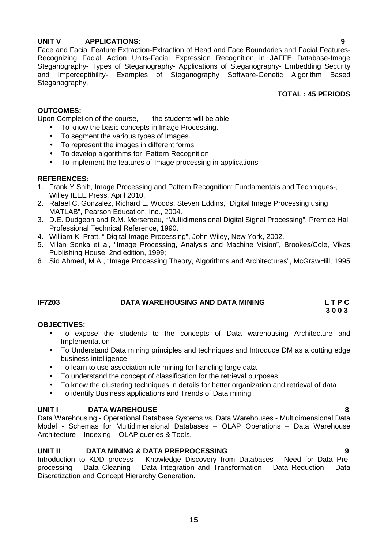## **UNIT V APPLICATIONS: 9**

Face and Facial Feature Extraction-Extraction of Head and Face Boundaries and Facial Features- Recognizing Facial Action Units-Facial Expression Recognition in JAFFE Database-Image Steganography- Types of Steganography- Applications of Steganography- Embedding Security and Imperceptibility- Examples of Steganography Software-Genetic Algorithm Based Steganography.

## **TOTAL : 45 PERIODS**

# **OUTCOMES:**

Upon Completion of the course. the students will be able

- To know the basic concepts in Image Processing.
- To segment the various types of Images.
- To represent the images in different forms
- To develop algorithms for Pattern Recognition
- To implement the features of Image processing in applications

### **REFERENCES:**

- 1. Frank Y Shih, Image Processing and Pattern Recognition: Fundamentals and Techniques-, Willey IEEE Press, April 2010.
- 2. Rafael C. Gonzalez, Richard E. Woods, Steven Eddins," Digital Image Processing using MATLAB", Pearson Education, Inc., 2004.
- 3. D.E. Dudgeon and R.M. Mersereau, "Multidimensional Digital Signal Processing", Prentice Hall Professional Technical Reference, 1990.
- 4. William K. Pratt, " Digital Image Processing", John Wiley, New York, 2002.
- 5. Milan Sonka et al, "Image Processing, Analysis and Machine Vision", Brookes/Cole, Vikas Publishing House, 2nd edition, 1999;
- 6. Sid Ahmed, M.A., "Image Processing Theory, Algorithms and Architectures", McGrawHill, 1995

# **IF7203 DATA WAREHOUSING AND DATA MINING L T P C**

**3 0 0 3**

### **OBJECTIVES:**

- To expose the students to the concepts of Data warehousing Architecture and Implementation
- To Understand Data mining principles and techniques and Introduce DM as a cutting edge business intelligence
- To learn to use association rule mining for handling large data
- To understand the concept of classification for the retrieval purposes
- To know the clustering techniques in details for better organization and retrieval of data
- To identify Business applications and Trends of Data mining

### **UNIT I DATA WAREHOUSE 8**

Data Warehousing - Operational Database Systems vs. Data Warehouses - Multidimensional Data Model - Schemas for Multidimensional Databases – OLAP Operations – Data Warehouse Architecture – Indexing – OLAP queries & Tools.

### **UNIT II DATA MINING & DATA PREPROCESSING 9**

Introduction to KDD process – Knowledge Discovery from Databases - Need for Data Pre processing – Data Cleaning – Data Integration and Transformation – Data Reduction – Data Discretization and Concept Hierarchy Generation.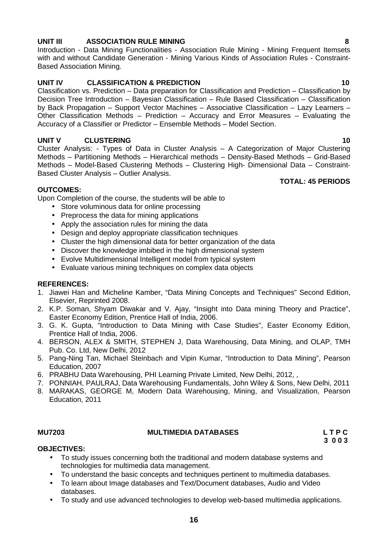# **UNIT III ASSOCIATION RULE MINING 8**

Introduction - Data Mining Functionalities - Association Rule Mining - Mining Frequent Itemsets with and without Candidate Generation - Mining Various Kinds of Association Rules - Constraint- Based Association Mining.

# **UNIT IV CLASSIFICATION & PREDICTION 10**

Classification vs. Prediction – Data preparation for Classification and Prediction – Classification by Decision Tree Introduction – Bayesian Classification – Rule Based Classification – Classification by Back Propagation – Support Vector Machines – Associative Classification – Lazy Learners – Other Classification Methods – Prediction – Accuracy and Error Measures – Evaluating the Accuracy of a Classifier or Predictor – Ensemble Methods – Model Section.

# **UNIT V CLUSTERING 10**

Cluster Analysis: - Types of Data in Cluster Analysis – A Categorization of Major Clustering Methods – Partitioning Methods – Hierarchical methods – Density-Based Methods – Grid-Based Methods – Model-Based Clustering Methods – Clustering High- Dimensional Data – Constraint- Based Cluster Analysis – Outlier Analysis. **TOTAL: 45 PERIODS**

### **OUTCOMES:**

Upon Completion of the course, the students will be able to

- Store voluminous data for online processing
- Preprocess the data for mining applications
- Apply the association rules for mining the data
- Design and deploy appropriate classification techniques
- Cluster the high dimensional data for better organization of the data
- Discover the knowledge imbibed in the high dimensional system
- Evolve Multidimensional Intelligent model from typical system
- Evaluate various mining techniques on complex data objects

### **REFERENCES:**

- 1. Jiawei Han and Micheline Kamber, "Data Mining Concepts and Techniques" Second Edition, Elsevier, Reprinted 2008.
- 2. K.P. Soman, Shyam Diwakar and V. Ajay, "Insight into Data mining Theory and Practice", Easter Economy Edition, Prentice Hall of India, 2006.
- 3. G. K. Gupta, "Introduction to Data Mining with Case Studies", Easter Economy Edition, Prentice Hall of India, 2006.
- 4. BERSON, ALEX & SMITH, STEPHEN J, Data Warehousing, Data Mining, and OLAP, TMH Pub. Co. Ltd, New Delhi, 2012
- 5. Pang-Ning Tan, Michael Steinbach and Vipin Kumar, "Introduction to Data Mining", Pearson Education, 2007
- 6. PRABHU Data Warehousing, PHI Learning Private Limited, New Delhi, 2012, ,
- 7. PONNIAH, PAULRAJ, Data Warehousing Fundamentals, John Wiley & Sons, New Delhi, 2011
- 8. MARAKAS, GEORGE M, Modern Data Warehousing, Mining, and Visualization, Pearson Education, 2011

### **MU7203 MULTIMEDIA DATABASES L T P C**

**3 0 0 3**

# **OBJECTIVES:**

- To study issues concerning both the traditional and modern database systems and technologies for multimedia data management.
- To understand the basic concepts and techniques pertinent to multimedia databases.
- To learn about Image databases and Text/Document databases, Audio and Video databases.
- To study and use advanced technologies to develop web-based multimedia applications.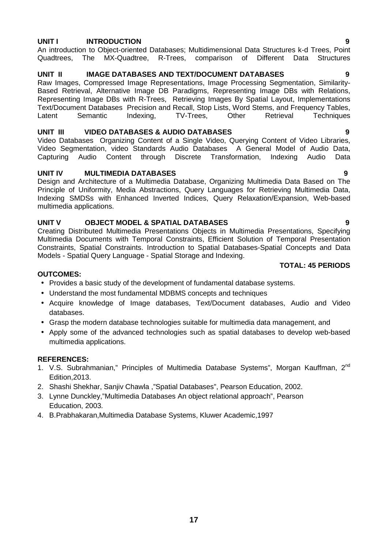### **UNIT I INTRODUCTION 9**

### An introduction to Object-oriented Databases; Multidimensional Data Structures k-d Trees, Point Quadtrees, The MX-Quadtree, R-Trees, comparison of Different Data Structures

### **UNIT II IMAGE DATABASES AND TEXT/DOCUMENT DATABASES 9**

Raw Images, Compressed Image Representations, Image Processing Segmentation, Similarity- Based Retrieval, Alternative Image DB Paradigms, Representing Image DBs with Relations, Representing Image DBs with R-Trees, Retrieving Images By Spatial Layout, Implementations Text/Document Databases Precision and Recall, Stop Lists, Word Stems, and Frequency Tables, Latent Semantic Indexing, TV-Trees, Other Retrieval Techniques

### **UNIT III VIDEO DATABASES & AUDIO DATABASES 9**

Video Databases Organizing Content of a Single Video, Querying Content of Video Libraries, Video Segmentation, video Standards Audio Databases A General Model of Audio Data, Capturing Audio Content through Discrete Transformation, Indexing Audio Data

### **UNIT IV MULTIMEDIA DATABASES 9**

Design and Architecture of a Multimedia Database, Organizing Multimedia Data Based on The Principle of Uniformity, Media Abstractions, Query Languages for Retrieving Multimedia Data, Indexing SMDSs with Enhanced Inverted Indices, Query Relaxation/Expansion, Web-based multimedia applications.

### **UNIT V OBJECT MODEL & SPATIAL DATABASES 9**

Creating Distributed Multimedia Presentations Objects in Multimedia Presentations, Specifying Multimedia Documents with Temporal Constraints, Efficient Solution of Temporal Presentation Constraints, Spatial Constraints. Introduction to Spatial Databases-Spatial Concepts and Data Models - Spatial Query Language - Spatial Storage and Indexing.

### **TOTAL: 45 PERIODS**

### **OUTCOMES:**

- Provides a basic study of the development of fundamental database systems.
- Understand the most fundamental MDBMS concepts and techniques
- Acquire knowledge of Image databases, Text/Document databases, Audio and Video databases.
- Grasp the modern database technologies suitable for multimedia data management, and
- Apply some of the advanced technologies such as spatial databases to develop web-based multimedia applications.

### **REFERENCES:**

- 1. V.S. Subrahmanian," Principles of Multimedia Database Systems", Morgan Kauffman, 2<sup>nd</sup> Edition,2013.
- 2. Shashi Shekhar, Sanjiv Chawla ,"Spatial Databases", Pearson Education, 2002.
- 3. Lynne Dunckley,"Multimedia Databases An object relational approach", Pearson Education, 2003.
- 4. B.Prabhakaran,Multimedia Database Systems, Kluwer Academic,1997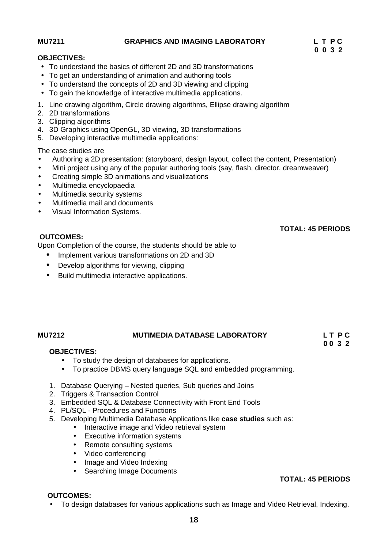## **MU7211 GRAPHICS AND IMAGING LABORATORY L T P C**

**TOTAL: 45 PERIODS**

**0 0 3 2**

### **OBJECTIVES:**

- To understand the basics of different 2D and 3D transformations
- To get an understanding of animation and authoring tools
- To understand the concepts of 2D and 3D viewing and clipping
- To gain the knowledge of interactive multimedia applications.
- 1. Line drawing algorithm, Circle drawing algorithms, Ellipse drawing algorithm
- 2. 2D transformations
- 3. Clipping algorithms
- 4. 3D Graphics using OpenGL, 3D viewing, 3D transformations
- 5. Developing interactive multimedia applications:

The case studies are

- Authoring a 2D presentation: (storyboard, design layout, collect the content, Presentation)
- Mini project using any of the popular authoring tools (say, flash, director, dreamweaver)
- Creating simple 3D animations and visualizations
- Multimedia encyclopaedia
- Multimedia security systems
- Multimedia mail and documents
- Visual Information Systems.

## **OUTCOMES:**

Upon Completion of the course, the students should be able to

- Implement various transformations on 2D and 3D
- Develop algorithms for viewing, clipping
- Build multimedia interactive applications.

# **MU7212 MUTIMEDIA DATABASE LABORATORY L T P C**

### **OBJECTIVES:**

- To study the design of databases for applications.
- To practice DBMS query language SQL and embedded programming.
- 1. Database Querying Nested queries, Sub queries and Joins
- 2. Triggers & Transaction Control
- 3. Embedded SQL & Database Connectivity with Front End Tools
- 4. PL/SQL Procedures and Functions
- 5. Developing Multimedia Database Applications like **case studies** such as:
	- Interactive image and Video retrieval system
	- Executive information systems
	- Remote consulting systems
	- Video conferencing
	- Image and Video Indexing
	- Searching Image Documents

### **TOTAL: 45 PERIODS**

### **OUTCOMES:**

To design databases for various applications such as Image and Video Retrieval, Indexing.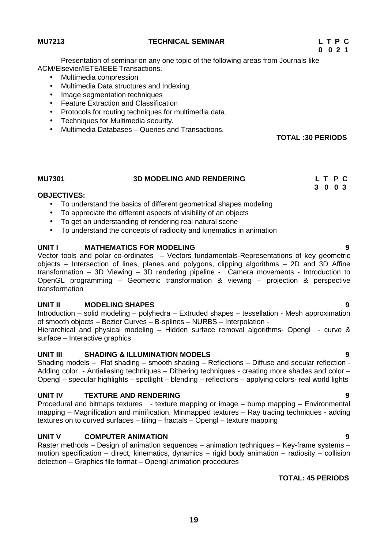- ACM/Elsevier/IETE/IEEE Transactions. • Multimedia compression
	- Multimedia Data structures and Indexing
	- Image segmentation techniques
	- Feature Extraction and Classification
	- Protocols for routing techniques for multimedia data.
	- Techniques for Multimedia security.
	- Multimedia Databases Queries and Transactions.

**TOTAL :30 PERIODS**

**3 0 0 3**

# **MU7301 3D MODELING AND RENDERING L T P C**

### **OBJECTIVES:**

- To understand the basics of different geometrical shapes modeling
- To appreciate the different aspects of visibility of an objects
- To get an understanding of rendering real natural scene
- To understand the concepts of radiocity and kinematics in animation

### **UNIT I MATHEMATICS FOR MODELING 9**

Vector tools and polar co-ordinates – Vectors fundamentals-Representations of key geometric objects – Intersection of lines, planes and polygons, clipping algorithms – 2D and 3D Affine transformation – 3D Viewing – 3D rendering pipeline - Camera movements - Introduction to OpenGL programming – Geometric transformation & viewing – projection & perspective transformation

### **UNIT II MODELING SHAPES 9**

Introduction – solid modeling – polyhedra – Extruded shapes – tessellation - Mesh approximation of smooth objects – Bezier Curves – B-splines – NURBS – Interpolation -

Hierarchical and physical modeling – Hidden surface removal algorithms- Opengl - curve & surface – Interactive graphics

### **UNIT III SHADING & ILLUMINATION MODELS 9**

Shading models – Flat shading – smooth shading – Reflections – Diffuse and secular reflection - Adding color - Antialiasing techniques – Dithering techniques - creating more shades and color – Opengl – specular highlights – spotlight – blending – reflections – applying colors- real world lights

### **UNIT IV TEXTURE AND RENDERING 9**

Procedural and bitmaps textures - texture mapping or image – bump mapping – Environmental mapping – Magnification and minification, Minmapped textures – Ray tracing techniques - adding textures on to curved surfaces – tiling – fractals – Opengl – texture mapping

### **UNIT V COMPUTER ANIMATION 9**

Raster methods – Design of animation sequences – animation techniques – Key-frame systems – motion specification – direct, kinematics, dynamics – rigid body animation – radiosity – collision detection – Graphics file format – Opengl animation procedures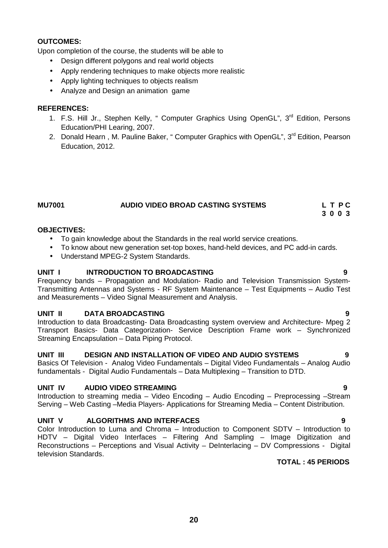Upon completion of the course, the students will be able to

- Design different polygons and real world objects
- Apply rendering techniques to make objects more realistic
- Apply lighting techniques to objects realism
- Analyze and Design an animation game

### **REFERENCES:**

- 1. F.S. Hill Jr., Stephen Kelly, " Computer Graphics Using OpenGL", 3<sup>rd</sup> Edition, Persons Education/PHI Learing, 2007.
- 2. Donald Hearn, M. Pauline Baker, " Computer Graphics with OpenGL", 3<sup>rd</sup> Edition, Pearson Education, 2012.

| <b>MU7001</b> | AUDIO VIDEO BROAD CASTING SYSTEMS | LTPC |
|---------------|-----------------------------------|------|
|               |                                   | 300  |

### **OBJECTIVES:**

- To gain knowledge about the Standards in the real world service creations.
- To know about new generation set-top boxes, hand-held devices, and PC add-in cards.
- Understand MPEG-2 System Standards.

### **UNIT I INTRODUCTION TO BROADCASTING 9**

Frequency bands – Propagation and Modulation- Radio and Television Transmission System- Transmitting Antennas and Systems - RF System Maintenance – Test Equipments – Audio Test and Measurements – Video Signal Measurement and Analysis.

### **UNIT II DATA BROADCASTING 9**

Introduction to data Broadcasting- Data Broadcasting system overview and Architecture- Mpeg 2 Transport Basics- Data Categorization- Service Description Frame work – Synchronized Streaming Encapsulation – Data Piping Protocol.

# **UNIT III DESIGN AND INSTALLATION OF VIDEO AND AUDIO SYSTEMS 9**

Basics Of Television - Analog Video Fundamentals – Digital Video Fundamentals – Analog Audio fundamentals - Digital Audio Fundamentals – Data Multiplexing – Transition to DTD.

### **UNIT IV AUDIO VIDEO STREAMING 9**

Introduction to streaming media – Video Encoding – Audio Encoding – Preprocessing –Stream Serving – Web Casting –Media Players- Applications for Streaming Media – Content Distribution.

### **UNIT V ALGORITHMS AND INTERFACES 9**

Color Introduction to Luma and Chroma – Introduction to Component SDTV – Introduction to HDTV – Digital Video Interfaces – Filtering And Sampling – Image Digitization and Reconstructions – Perceptions and Visual Activity – DeInterlacing – DV Compressions - Digital television Standards.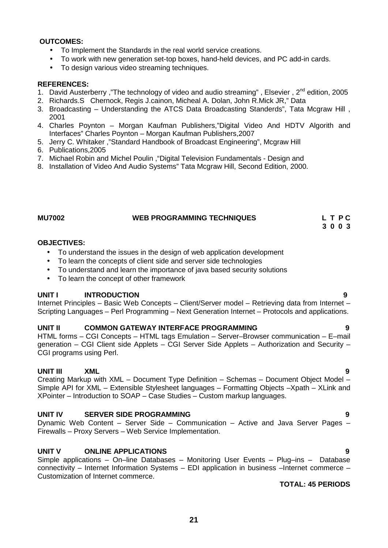- To Implement the Standards in the real world service creations.
- To work with new generation set-top boxes, hand-held devices, and PC add-in cards.
- To design various video streaming techniques.

### **REFERENCES:**

- 1. David Austerberry ,"The technology of video and audio streaming", Elsevier,  $2^{nd}$  edition, 2005
- 2. Richards.S Chernock, Regis J.cainon, Micheal A. Dolan, John R.Mick JR," Data
- 3. Broadcasting Understanding the ATCS Data Broadcasting Standerds", Tata Mcgraw Hill , 2001
- 4. Charles Poynton Morgan Kaufman Publishers,"Digital Video And HDTV Algorith and Interfaces" Charles Poynton – Morgan Kaufman Publishers,2007
- 5. Jerry C. Whitaker ,"Standard Handbook of Broadcast Engineering", Mcgraw Hill
- 6. Publications,2005
- 7. Michael Robin and Michel Poulin ,"Digital Television Fundamentals Design and
- 8. Installation of Video And Audio Systems" Tata Mcgraw Hill, Second Edition, 2000.

### **MU7002 WEB PROGRAMMING TECHNIQUES L T P C 3 0 0 3**

### **OBJECTIVES:**

- To understand the issues in the design of web application development
- To learn the concepts of client side and server side technologies
- To understand and learn the importance of java based security solutions
- To learn the concept of other framework

### **UNIT I INTRODUCTION 9**

Internet Principles – Basic Web Concepts – Client/Server model – Retrieving data from Internet – Scripting Languages – Perl Programming – Next Generation Internet – Protocols and applications.

### **UNIT II COMMON GATEWAY INTERFACE PROGRAMMING 9**

HTML forms – CGI Concepts – HTML tags Emulation – Server–Browser communication – E–mail generation – CGI Client side Applets – CGI Server Side Applets – Authorization and Security – CGI programs using Perl.

## **UNIT III XML 9**

Creating Markup with XML – Document Type Definition – Schemas – Document Object Model – Simple API for XML – Extensible Stylesheet languages – Formatting Objects –Xpath – XLink and XPointer – Introduction to SOAP – Case Studies – Custom markup languages.

### **UNIT IV SERVER SIDE PROGRAMMING 9**

Dynamic Web Content – Server Side – Communication – Active and Java Server Pages – Firewalls – Proxy Servers – Web Service Implementation.

### **UNIT V ONLINE APPLICATIONS 9**

Simple applications – On–line Databases – Monitoring User Events – Plug–ins – Database connectivity – Internet Information Systems – EDI application in business –Internet commerce – Customization of Internet commerce.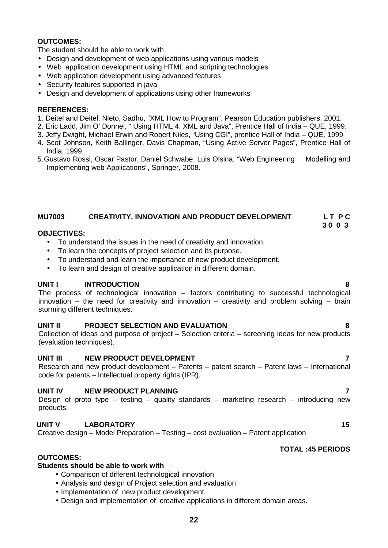The student should be able to work with

- Design and development of web applications using various models
- Web application development using HTML and scripting technologies
- Web application development using advanced features
- Security features supported in java
- Design and development of applications using other frameworks

### **REFERENCES:**

- 1. Deitel and Deitel, Nieto, Sadhu, "XML How to Program", Pearson Education publishers, 2001.
- 2. Eric Ladd, Jim O' Donnel, " Using HTML 4, XML and Java", Prentice Hall of India QUE, 1999.
- 3. Jeffy Dwight, Michael Erwin and Robert Niles, "Using CGI", prentice Hall of India QUE, 1999
- 4. Scot Johnson, Keith Ballinger, Davis Chapman, "Using Active Server Pages", Prentice Hall of India, 1999.
- 5.Gustavo Rossi, Oscar Pastor, Daniel Schwabe, Luis Olsina, "Web Engineering Modelling and Implementing web Applications", Springer, 2008.

# **MU7003 CREATIVITY, INNOVATION AND PRODUCT DEVELOPMENT L T P C**

### **OBJECTIVES:**

- To understand the issues in the need of creativity and innovation.
- To learn the concepts of project selection and its purpose.
- To understand and learn the importance of new product development.
- To learn and design of creative application in different domain.

### **UNIT I INTRODUCTION 8**

The process of technological innovation – factors contributing to successful technological innovation – the need for creativity and innovation – creativity and problem solving – brain storming different techniques.

### **UNIT II PROJECT SELECTION AND EVALUATION 8**

Collection of ideas and purpose of project – Selection criteria – screening ideas for new products (evaluation techniques).

### **UNIT III NEW PRODUCT DEVELOPMENT 7**

Research and new product development – Patents – patent search – Patent laws – International code for patents – Intellectual property rights (IPR).

### **UNIT IV NEW PRODUCT PLANNING 7**

Design of proto type – testing – quality standards – marketing research – introducing new products.

# **UNIT V LABORATORY 15**

Creative design – Model Preparation – Testing – cost evaluation – Patent application

### **TOTAL :45 PERIODS**

## **OUTCOMES:**

### **Students should be able to work with**

- Comparison of different technological innovation
- Analysis and design of Project selection and evaluation.
- Implementation of new product development.
- Design and implementation of creative applications in different domain areas.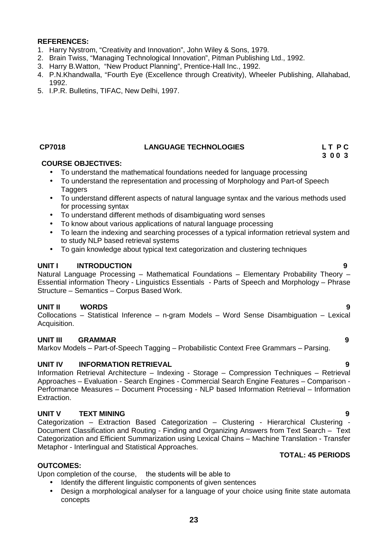- 1. Harry Nystrom, "Creativity and Innovation", John Wiley & Sons, 1979.
- 2. Brain Twiss, "Managing Technological Innovation", Pitman Publishing Ltd., 1992.
- 3. Harry B.Watton, "New Product Planning", Prentice-Hall Inc., 1992.
- 4. P.N.Khandwalla, "Fourth Eye (Excellence through Creativity), Wheeler Publishing, Allahabad, 1992.
- 5. I.P.R. Bulletins, TIFAC, New Delhi, 1997.

### **CP7018 LANGUAGE TECHNOLOGIES L T P C**

# **3 0 0 3**

### **COURSE OBJECTIVES:**

- To understand the mathematical foundations needed for language processing
- To understand the representation and processing of Morphology and Part-of Speech **Taggers**
- To understand different aspects of natural language syntax and the various methods used for processing syntax
- To understand different methods of disambiguating word senses
- To know about various applications of natural language processing
- To learn the indexing and searching processes of a typical information retrieval system and to study NLP based retrieval systems
- To gain knowledge about typical text categorization and clustering techniques

### **UNIT I INTRODUCTION 9**

Natural Language Processing – Mathematical Foundations – Elementary Probability Theory – Essential information Theory - Linguistics Essentials - Parts of Speech and Morphology – Phrase Structure – Semantics – Corpus Based Work.

# **UNIT II WORDS 9**

Collocations – Statistical Inference – n-gram Models – Word Sense Disambiguation – Lexical Acquisition.

## **UNIT III GRAMMAR 9**

Markov Models – Part-of-Speech Tagging – Probabilistic Context Free Grammars – Parsing.

### **UNIT IV INFORMATION RETRIEVAL 9**

Information Retrieval Architecture – Indexing - Storage – Compression Techniques – Retrieval Approaches – Evaluation - Search Engines - Commercial Search Engine Features – Comparison - Performance Measures – Document Processing - NLP based Information Retrieval – Information Extraction.

# **UNIT V TEXT MINING 9**

Categorization – Extraction Based Categorization – Clustering - Hierarchical Clustering - Document Classification and Routing - Finding and Organizing Answers from Text Search – Text Categorization and Efficient Summarization using Lexical Chains – Machine Translation - Transfer Metaphor - Interlingual and Statistical Approaches.

# **TOTAL: 45 PERIODS**

### **OUTCOMES:**

Upon completion of the course, the students will be able to

- Identify the different linguistic components of given sentences
- Design a morphological analyser for a language of your choice using finite state automata concepts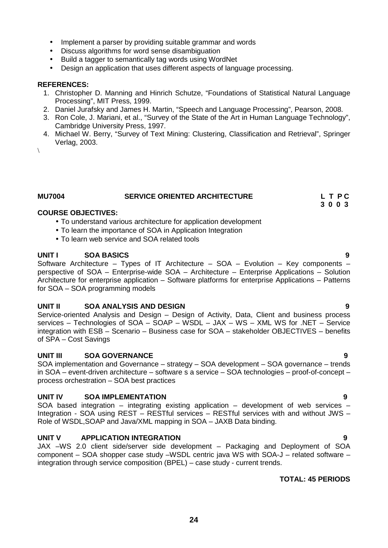- Implement a parser by providing suitable grammar and words
- Discuss algorithms for word sense disambiguation
- Build a tagger to semantically tag words using WordNet
- Design an application that uses different aspects of language processing.

- 1. Christopher D. Manning and Hinrich Schutze, "Foundations of Statistical Natural Language Processing", MIT Press, 1999.
- 2. Daniel Jurafsky and James H. Martin, "Speech and Language Processing", Pearson, 2008.
- 3. Ron Cole, J. Mariani, et al., "Survey of the State of the Art in Human Language Technology", Cambridge University Press, 1997.
- 4. Michael W. Berry, "Survey of Text Mining: Clustering, Classification and Retrieval", Springer Verlag, 2003.
- $\sqrt{2}$

### **MU7004 SERVICE ORIENTED ARCHITECTURE L T P C**

### **COURSE OBJECTIVES:**

- To understand various architecture for application development
- To learn the importance of SOA in Application Integration
- To learn web service and SOA related tools

### **UNIT I SOA BASICS 9**

Software Architecture – Types of IT Architecture –  $SOA - Evolution - Key components$ perspective of SOA – Enterprise-wide SOA – Architecture – Enterprise Applications – Solution Architecture for enterprise application – Software platforms for enterprise Applications – Patterns for SOA – SOA programming models

### **UNIT II SOA ANALYSIS AND DESIGN 9**

Service-oriented Analysis and Design – Design of Activity, Data, Client and business process services – Technologies of SOA – SOAP – WSDL – JAX – WS – XML WS for .NET – Service integration with ESB – Scenario – Business case for SOA – stakeholder OBJECTIVES – benefits of SPA –Cost Savings

### **UNIT III SOA GOVERNANCE 9**

SOA implementation and Governance – strategy – SOA development – SOA governance – trends in SOA – event-driven architecture – software s a service – SOA technologies – proof-of-concept – process orchestration – SOA best practices

### **UNIT IV SOA IMPLEMENTATION 9**

SOA based integration – integrating existing application – development of web services – Integration - SOA using REST – RESTful services – RESTful services with and without JWS – Role of WSDL,SOAP and Java/XML mapping in SOA – JAXB Data binding.

### **UNIT V APPLICATION INTEGRATION 9**

JAX –WS 2.0 client side/server side development – Packaging and Deployment of SOA component – SOA shopper case study –WSDL centric java WS with SOA-J – related software – integration through service composition (BPEL) – case study - current trends.

### **TOTAL: 45 PERIODS**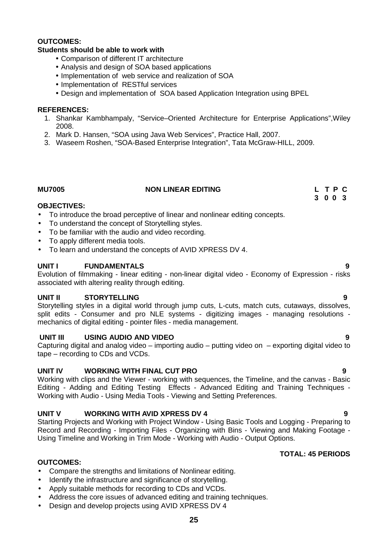### **Students should be able to work with**

- Comparison of different IT architecture
- Analysis and design of SOA based applications
- Implementation of web service and realization of SOA
- Implementation of RESTful services
- Design and implementation of SOA based Application Integration using BPEL

### **REFERENCES:**

- 1. Shankar Kambhampaly, "Service–Oriented Architecture for Enterprise Applications",Wiley 2008.
- 2. Mark D. Hansen, "SOA using Java Web Services", Practice Hall, 2007.
- 3. Waseem Roshen, "SOA-Based Enterprise Integration", Tata McGraw-HILL, 2009.

### **MU7005 NON LINEAR EDITING L T P C**

### **OBJECTIVES:**

- To introduce the broad perceptive of linear and nonlinear editing concepts.
- To understand the concept of Storytelling styles.
- To be familiar with the audio and video recording.
- To apply different media tools.
- To learn and understand the concepts of AVID XPRESS DV 4.

### **UNIT I FUNDAMENTALS 9**

Evolution of filmmaking - linear editing - non-linear digital video - Economy of Expression - risks associated with altering reality through editing.

### **UNIT II STORYTELLING 9**

Storytelling styles in a digital world through jump cuts, L-cuts, match cuts, cutaways, dissolves, split edits - Consumer and pro NLE systems - digitizing images - managing resolutions mechanics of digital editing - pointer files - media management.

### **UNIT III USING AUDIO AND VIDEO 9**

Capturing digital and analog video – importing audio – putting video on – exporting digital video to tape – recording to CDs and VCDs.

### **UNIT IV WORKING WITH FINAL CUT PRO 9**

Working with clips and the Viewer - working with sequences, the Timeline, and the canvas - Basic Editing - Adding and Editing Testing Effects - Advanced Editing and Training Techniques - Working with Audio - Using Media Tools - Viewing and Setting Preferences.

### **UNIT V WORKING WITH AVID XPRESS DV 4 9**

Starting Projects and Working with Project Window - Using Basic Tools and Logging - Preparing to Record and Recording - Importing Files - Organizing with Bins - Viewing and Making Footage - Using Timeline and Working in Trim Mode - Working with Audio - Output Options.

### **TOTAL: 45 PERIODS**

### **OUTCOMES:**

- Compare the strengths and limitations of Nonlinear editing.
- Identify the infrastructure and significance of storvtelling.
- Apply suitable methods for recording to CDs and VCDs.
- Address the core issues of advanced editing and training techniques.
- Design and develop projects using AVID XPRESS DV 4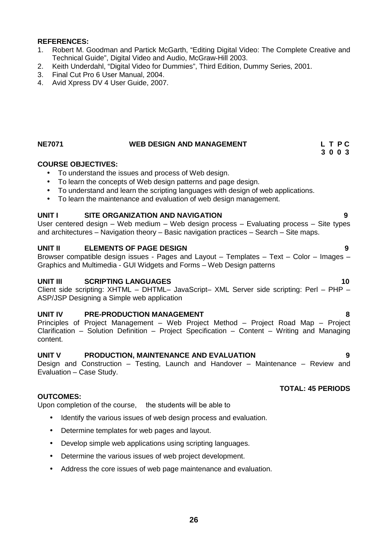- 1. Robert M. Goodman and Partick McGarth, "Editing Digital Video: The Complete Creative and Technical Guide", Digital Video and Audio, McGraw-Hill 2003.
- 2. Keith Underdahl, "Digital Video for Dummies", Third Edition, Dummy Series, 2001.
- 3. Final Cut Pro 6 User Manual, 2004.
- 4. Avid Xpress DV 4 User Guide, 2007.

# **NE7071 WEB DESIGN AND MANAGEMENT L T P C**

### **COURSE OBJECTIVES:**

- To understand the issues and process of Web design.
- To learn the concepts of Web design patterns and page design.
- To understand and learn the scripting languages with design of web applications.
- To learn the maintenance and evaluation of web design management.

### **UNIT I SITE ORGANIZATION AND NAVIGATION 9**

User centered design – Web medium – Web design process – Evaluating process – Site types and architectures – Navigation theory – Basic navigation practices – Search – Site maps.

### **UNIT II ELEMENTS OF PAGE DESIGN 9**

Browser compatible design issues - Pages and Layout – Templates – Text – Color – Images – Graphics and Multimedia - GUI Widgets and Forms – Web Design patterns

### **UNIT III SCRIPTING LANGUAGES 10**

Client side scripting: XHTML – DHTML– JavaScript– XML Server side scripting: Perl – PHP – ASP/JSP Designing a Simple web application

### **UNIT IV PRE-PRODUCTION MANAGEMENT 8**

Principles of Project Management – Web Project Method – Project Road Map – Project Clarification – Solution Definition – Project Specification – Content – Writing and Managing content.

### **UNIT V PRODUCTION, MAINTENANCE AND EVALUATION 9**

Design and Construction – Testing, Launch and Handover – Maintenance – Review and Evaluation – Case Study.

### **OUTCOMES:**

Upon completion of the course, the students will be able to

- Identify the various issues of web design process and evaluation.
- Determine templates for web pages and layout.
- Develop simple web applications using scripting languages.
- Determine the various issues of web project development.
- Address the core issues of web page maintenance and evaluation.

# **TOTAL: 45 PERIODS**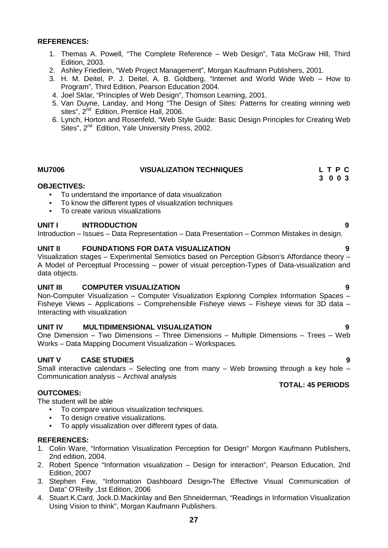- 1. Themas A. Powell, "The Complete Reference Web Design", Tata McGraw Hill, Third Edition, 2003.
- 2. Ashley Friedlein, "Web Project Management", Morgan Kaufmann Publishers, 2001.
- 3. H. M. Deitel, P. J. Deitel, A. B. Goldberg, "Internet and World Wide Web How to Program", Third Edition, Pearson Education 2004.
- 4. Joel Sklar, "Principles of Web Design", Thomson Learning, 2001.
- 5. Van Duyne, Landay, and Hong "The Design of Sites: Patterns for creating winning web sites", 2<sup>nd</sup> Edition, Prentice Hall, 2006.
- 6. Lynch, Horton and Rosenfeld, "Web Style Guide: Basic Design Principles for Creating Web Sites", 2<sup>nd</sup> Edition, Yale University Press, 2002.

### **MU7006 VISUALIZATION TECHNIQUES L T P C 3 0 0 3**

### **OBJECTIVES:**

- To understand the importance of data visualization
- To know the different types of visualization techniques
- To create various visualizations

### **UNIT I INTRODUCTION 9**

Introduction – Issues – Data Representation – Data Presentation – Common Mistakes in design.

### **UNIT II FOUNDATIONS FOR DATA VISUALIZATION 9**

Visualization stages – Experimental Semiotics based on Perception Gibson's Affordance theory – A Model of Perceptual Processing – power of visual perception-Types of Data-visualization and data objects.

### **UNIT III COMPUTER VISUALIZATION 9**

Non-Computer Visualization – Computer Visualization Exploring Complex Information Spaces – Fisheye Views – Applications – Comprehensible Fisheye views – Fisheye views for 3D data – Interacting with visualization

### **UNIT IV MULTIDIMENSIONAL VISUALIZATION 9**

One Dimension – Two Dimensions – Three Dimensions – Multiple Dimensions – Trees – Web Works – Data Mapping Document Visualization – Workspaces.

### **UNIT V CASE STUDIES 9**

Small interactive calendars – Selecting one from many – Web browsing through a key hole – Communication analysis – Archival analysis

### **OUTCOMES:**

The student will be able

- To compare various visualization techniques.
- To design creative visualizations.
- To apply visualization over different types of data.

### **REFERENCES:**

- 1. Colin Ware, "Information Visualization Perception for Design" Morgon Kaufmann Publishers, 2nd edition, 2004.
- 2. Robert Spence "Information visualization Design for interaction", Pearson Education, 2nd Edition, 2007
- 3. Stephen Few, "Information Dashboard Design**-**The Effective Visual Communication of Data" O'Reilly ,1st Edition, 2006
- 4. Stuart.K.Card, Jock.D.Mackinlay and Ben Shneiderman, "Readings in Information Visualization Using Vision to think", Morgan Kaufmann Publishers.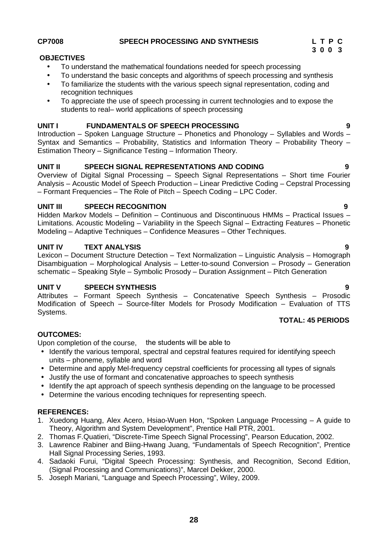### **OBJECTIVES**

- To understand the mathematical foundations needed for speech processing
- To understand the basic concepts and algorithms of speech processing and synthesis
- To familiarize the students with the various speech signal representation, coding and recognition techniques
- To appreciate the use of speech processing in current technologies and to expose the students to real– world applications of speech processing

### **UNIT I FUNDAMENTALS OF SPEECH PROCESSING 9**

Introduction – Spoken Language Structure – Phonetics and Phonology – Syllables and Words – Syntax and Semantics – Probability, Statistics and Information Theory – Probability Theory – Estimation Theory – Significance Testing – Information Theory.

### **UNIT II SPEECH SIGNAL REPRESENTATIONS AND CODING 9**

Overview of Digital Signal Processing – Speech Signal Representations – Short time Fourier Analysis – Acoustic Model of Speech Production – Linear Predictive Coding – Cepstral Processing – Formant Frequencies – The Role of Pitch – Speech Coding – LPC Coder.

## **UNIT III SPEECH RECOGNITION 9**

Hidden Markov Models – Definition – Continuous and Discontinuous HMMs – Practical Issues – Limitations. Acoustic Modeling – Variability in the Speech Signal – Extracting Features – Phonetic Modeling – Adaptive Techniques – Confidence Measures – Other Techniques.

## **UNIT IV TEXT ANALYSIS 9**

Lexicon – Document Structure Detection – Text Normalization – Linguistic Analysis – Homograph Disambiguation – Morphological Analysis – Letter-to-sound Conversion – Prosody – Generation schematic – Speaking Style – Symbolic Prosody – Duration Assignment – Pitch Generation

### **UNIT V SPEECH SYNTHESIS 9**

Attributes – Formant Speech Synthesis – Concatenative Speech Synthesis – Prosodic Modification of Speech – Source-filter Models for Prosody Modification – Evaluation of TTS Systems.

### **TOTAL: 45 PERIODS**

### **OUTCOMES:**

Upon completion of the course, the students will be able to

- Identify the various temporal, spectral and cepstral features required for identifying speech units – phoneme, syllable and word
- Determine and apply Mel-frequency cepstral coefficients for processing all types of signals
- Justify the use of formant and concatenative approaches to speech synthesis
- Identify the apt approach of speech synthesis depending on the language to be processed
- Determine the various encoding techniques for representing speech.

### **REFERENCES:**

- 1. Xuedong Huang, Alex Acero, Hsiao-Wuen Hon, "Spoken Language Processing A guide to Theory, Algorithm and System Development", Prentice Hall PTR, 2001.
- 2. Thomas F.Quatieri, "Discrete-Time Speech Signal Processing", Pearson Education, 2002.
- 3. Lawrence Rabiner and Biing-Hwang Juang, "Fundamentals of Speech Recognition", Prentice Hall Signal Processing Series, 1993.
- 4. Sadaoki Furui, "Digital Speech Processing: Synthesis, and Recognition, Second Edition, (Signal Processing and Communications)", Marcel Dekker, 2000.
- 5. Joseph Mariani, "Language and Speech Processing", Wiley, 2009.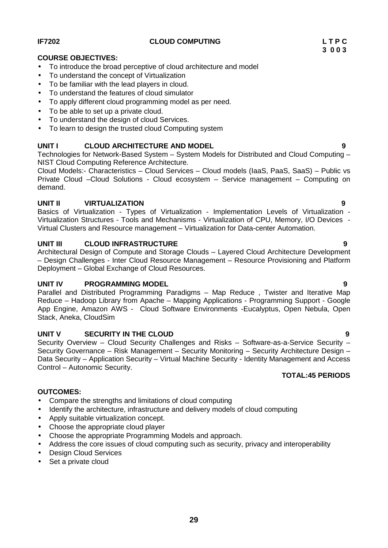To understand the design of cloud Services. • To learn to design the trusted cloud Computing system

# **UNIT I CLOUD ARCHITECTURE AND MODEL 9**

 To understand the concept of Virtualization To be familiar with the lead players in cloud. To understand the features of cloud simulator

To be able to set up a private cloud.

Technologies for Network-Based System – System Models for Distributed and Cloud Computing – NIST Cloud Computing Reference Architecture.

Cloud Models:- Characteristics – Cloud Services – Cloud models (IaaS, PaaS, SaaS) – Public vs Private Cloud –Cloud Solutions - Cloud ecosystem – Service management – Computing on demand.

# **UNIT II VIRTUALIZATION 9**

Basics of Virtualization - Types of Virtualization - Implementation Levels of Virtualization - Virtualization Structures - Tools and Mechanisms - Virtualization of CPU, Memory, I/O Devices - Virtual Clusters and Resource management – Virtualization for Data-center Automation.

# **UNIT III CLOUD INFRASTRUCTURE 9**

Architectural Design of Compute and Storage Clouds – Layered Cloud Architecture Development – Design Challenges - Inter Cloud Resource Management – Resource Provisioning and Platform Deployment – Global Exchange of Cloud Resources.

# **UNIT IV PROGRAMMING MODEL 9**

Parallel and Distributed Programming Paradigms – Map Reduce , Twister and Iterative Map Reduce – Hadoop Library from Apache – Mapping Applications - Programming Support - Google App Engine, Amazon AWS - Cloud Software Environments -Eucalyptus, Open Nebula, Open Stack, Aneka, CloudSim

# **UNIT V SECURITY IN THE CLOUD 9**

Security Overview – Cloud Security Challenges and Risks – Software-as-a-Service Security – Security Governance – Risk Management – Security Monitoring – Security Architecture Design – Data Security – Application Security – Virtual Machine Security - Identity Management and Access Control – Autonomic Security.

# **TOTAL:45 PERIODS**

# **OUTCOMES:**

- Compare the strengths and limitations of cloud computing
- Identify the architecture, infrastructure and delivery models of cloud computing
- Apply suitable virtualization concept.
- Choose the appropriate cloud player
- Choose the appropriate Programming Models and approach.
- Address the core issues of cloud computing such as security, privacy and interoperability
- Design Cloud Services
- Set a private cloud

To introduce the broad perceptive of cloud architecture and model

To apply different cloud programming model as per need.

**COURSE OBJECTIVES:**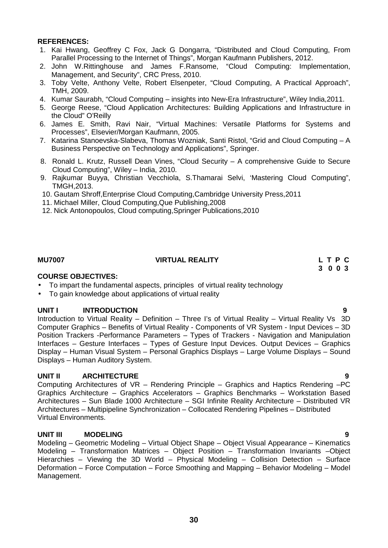- 1. Kai Hwang, Geoffrey C Fox, Jack G Dongarra, "Distributed and Cloud Computing, From Parallel Processing to the Internet of Things", Morgan Kaufmann Publishers, 2012.
- 2. John W.Rittinghouse and James F.Ransome, "Cloud Computing: Implementation, Management, and Security", CRC Press, 2010.
- 3. Toby Velte, Anthony Velte, Robert Elsenpeter, "Cloud Computing, A Practical Approach", TMH, 2009.
- 4. Kumar Saurabh, "Cloud Computing insights into New-Era Infrastructure", Wiley India,2011.
- 5. George Reese, "Cloud Application Architectures: Building Applications and Infrastructure in the Cloud" O'Reilly
- 6. James E. Smith, Ravi Nair, "Virtual Machines: Versatile Platforms for Systems and Processes", Elsevier/Morgan Kaufmann, 2005.
- 7. Katarina Stanoevska-Slabeva, Thomas Wozniak, Santi Ristol, "Grid and Cloud Computing A Business Perspective on Technology and Applications", Springer.
- 8. Ronald L. Krutz, Russell Dean Vines, "Cloud Security A comprehensive Guide to Secure Cloud Computing", Wiley – India, 2010.
- 9. Rajkumar Buyya, Christian Vecchiola, S.Thamarai Selvi, 'Mastering Cloud Computing", TMGH,2013.
- 10. Gautam Shroff,Enterprise Cloud Computing,Cambridge University Press,2011
- 11. Michael Miller, Cloud Computing,Que Publishing,2008
- 12. Nick Antonopoulos, Cloud computing,Springer Publications,2010

## **MU7007 VIRTUAL REALITY L T P C**

# **3 0 0 3**

### **COURSE OBJECTIVES:**

- To impart the fundamental aspects, principles of virtual reality technology
- To gain knowledge about applications of virtual reality

### **UNIT I INTRODUCTION 9**

Introduction to Virtual Reality – Definition – Three I's of Virtual Reality – Virtual Reality Vs 3D Computer Graphics – Benefits of Virtual Reality - Components of VR System - Input Devices – 3D Position Trackers -Performance Parameters – Types of Trackers - Navigation and Manipulation Interfaces – Gesture Interfaces – Types of Gesture Input Devices. Output Devices – Graphics Display – Human Visual System – Personal Graphics Displays – Large Volume Displays – Sound Displays – Human Auditory System.

### **UNIT II ARCHITECTURE 9**

Computing Architectures of VR – Rendering Principle – Graphics and Haptics Rendering –PC Graphics Architecture – Graphics Accelerators – Graphics Benchmarks – Workstation Based Architectures – Sun Blade 1000 Architecture – SGI Infinite Reality Architecture – Distributed VR Architectures – Multipipeline Synchronization – Collocated Rendering Pipelines – Distributed Virtual Environments.

### **UNIT III MODELING 9**

Modeling – Geometric Modeling – Virtual Object Shape – Object Visual Appearance – Kinematics Modeling – Transformation Matrices – Object Position – Transformation Invariants –Object Hierarchies – Viewing the 3D World – Physical Modeling – Collision Detection – Surface Deformation – Force Computation – Force Smoothing and Mapping – Behavior Modeling – Model Management.

# **30**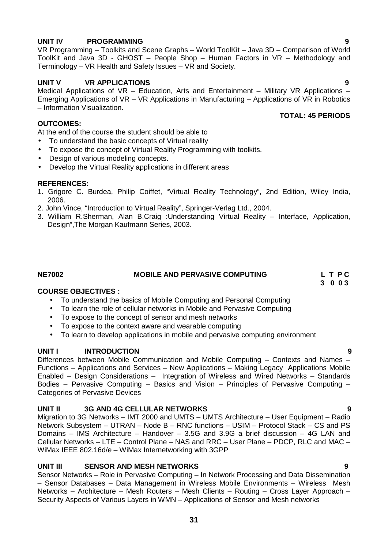# **UNIT IV PROGRAMMING 9**

VR Programming – Toolkits and Scene Graphs – World ToolKit – Java 3D – Comparison of World ToolKit and Java 3D - GHOST – People Shop – Human Factors in VR – Methodology and Terminology – VR Health and Safety Issues – VR and Society.

# **UNIT V VR APPLICATIONS 9**

Medical Applications of VR – Education, Arts and Entertainment – Military VR Applications – Emerging Applications of VR – VR Applications in Manufacturing – Applications of VR in Robotics – Information Visualization. **TOTAL: 45 PERIODS**

# **OUTCOMES:**

At the end of the course the student should be able to

- To understand the basic concepts of Virtual reality
- To expose the concept of Virtual Reality Programming with toolkits.
- Design of various modeling concepts.
- Develop the Virtual Reality applications in different areas

### **REFERENCES:**

- 1. Grigore C. Burdea, Philip Coiffet, "Virtual Reality Technology", 2nd Edition, Wiley India, 2006.
- 2. John Vince, "Introduction to Virtual Reality", Springer-Verlag Ltd., 2004.
- 3. William R.Sherman, Alan B.Craig :Understanding Virtual Reality Interface, Application, Design",The Morgan Kaufmann Series, 2003.

### **NE7002 MOBILE AND PERVASIVE COMPUTING L T P C**

### **COURSE OBJECTIVES :**

- To understand the basics of Mobile Computing and Personal Computing
- To learn the role of cellular networks in Mobile and Pervasive Computing
- To expose to the concept of sensor and mesh networks
- To expose to the context aware and wearable computing
- To learn to develop applications in mobile and pervasive computing environment

### **UNIT I INTRODUCTION 9**

Differences between Mobile Communication and Mobile Computing – Contexts and Names – Functions – Applications and Services – New Applications – Making Legacy Applications Mobile Enabled – Design Considerations – Integration of Wireless and Wired Networks – Standards Bodies – Pervasive Computing – Basics and Vision – Principles of Pervasive Computing – Categories of Pervasive Devices

### **UNIT II 3G AND 4G CELLULAR NETWORKS 9**

Migration to 3G Networks – IMT 2000 and UMTS – UMTS Architecture – User Equipment – Radio Network Subsystem – UTRAN – Node B – RNC functions – USIM – Protocol Stack – CS and PS Domains – IMS Architecture – Handover – 3.5G and 3.9G a brief discussion – 4G LAN and Cellular Networks – LTE –Control Plane – NAS and RRC – User Plane – PDCP, RLC and MAC – WiMax IEEE 802.16d/e – WiMax Internetworking with 3GPP

## **UNIT III SENSOR AND MESH NETWORKS 9**

Sensor Networks – Role in Pervasive Computing – In Network Processing and Data Dissemination – Sensor Databases – Data Management in Wireless Mobile Environments – Wireless Mesh Networks – Architecture – Mesh Routers – Mesh Clients – Routing – Cross Layer Approach – Security Aspects of Various Layers in WMN – Applications of Sensor and Mesh networks

**31**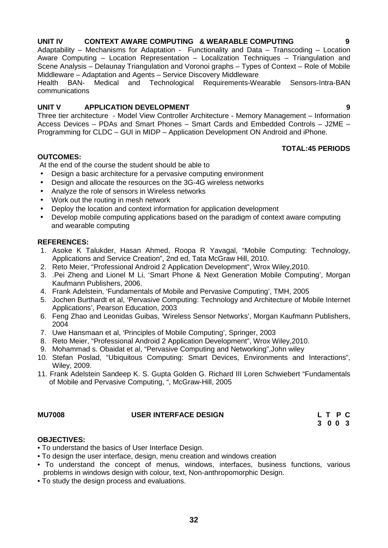# **UNIT IV CONTEXT AWARE COMPUTING & WEARABLE COMPUTING 9**

Adaptability – Mechanisms for Adaptation - Functionality and Data – Transcoding – Location Aware Computing – Location Representation – Localization Techniques – Triangulation and Scene Analysis – Delaunay Triangulation and Voronoi graphs – Types of Context – Role of Mobile Middleware – Adaptation and Agents – Service Discovery Middleware

Health BAN- Medical and Technological Requirements-Wearable Sensors-Intra-BAN communications

# **UNIT V APPLICATION DEVELOPMENT 9**

Three tier architecture - Model View Controller Architecture - Memory Management – Information Access Devices – PDAs and Smart Phones – Smart Cards and Embedded Controls – J2ME – Programming for CLDC – GUI in MIDP – Application Development ON Android and iPhone.

# **OUTCOMES:**

At the end of the course the student should be able to

- Design a basic architecture for a pervasive computing environment
- Design and allocate the resources on the 3G-4G wireless networks
- Analyze the role of sensors in Wireless networks
- Work out the routing in mesh network
- Deploy the location and context information for application development
- Develop mobile computing applications based on the paradigm of context aware computing and wearable computing

## **REFERENCES:**

- 1. Asoke K Talukder, Hasan Ahmed, Roopa R Yavagal, "Mobile Computing: Technology, Applications and Service Creation", 2nd ed, Tata McGraw Hill, 2010.
- 2. Reto Meier, "Professional Android 2 Application Development", Wrox Wiley,2010.
- 3. .Pei Zheng and Lionel M Li, 'Smart Phone & Next Generation Mobile Computing', Morgan Kaufmann Publishers, 2006.
- 4. Frank Adelstein, 'Fundamentals of Mobile and Pervasive Computing', TMH, 2005
- 5. Jochen Burthardt et al, 'Pervasive Computing: Technology and Architecture of Mobile Internet Applications', Pearson Education, 2003
- 6. Feng Zhao and Leonidas Guibas, 'Wireless Sensor Networks', Morgan Kaufmann Publishers, 2004
- 7. Uwe Hansmaan et al, 'Principles of Mobile Computing', Springer, 2003
- 8. Reto Meier, "Professional Android 2 Application Development", Wrox Wiley,2010.
- 9. Mohammad s. Obaidat et al, "Pervasive Computing and Networking",John wiley
- 10. Stefan Poslad, "Ubiquitous Computing: Smart Devices, Environments and Interactions", Wiley, 2009.
- 11. Frank Adelstein Sandeep K. S. Gupta Golden G. Richard III Loren Schwiebert "Fundamentals of Mobile and Pervasive Computing, ", McGraw-Hill, 2005

# **MU7008 USER INTERFACE DESIGN L T P C**

### **OBJECTIVES:**

- To understand the basics of User Interface Design.
- To design the user interface, design, menu creation and windows creation
- To understand the concept of menus, windows, interfaces, business functions, various problems in windows design with colour, text, Non-anthropomorphic Design.
- To study the design process and evaluations.

### **TOTAL:45 PERIODS**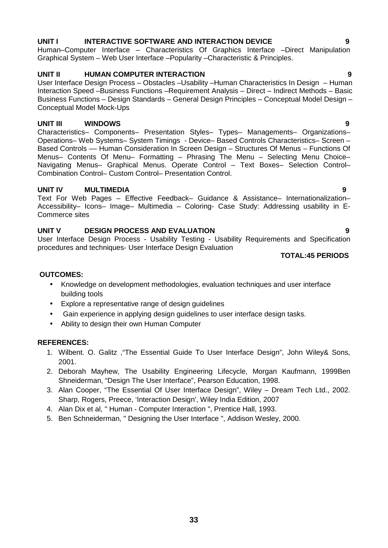# **UNIT I INTERACTIVE SOFTWARE AND INTERACTION DEVICE 9**

Human–Computer Interface – Characteristics Of Graphics Interface –Direct Manipulation Graphical System – Web User Interface –Popularity –Characteristic & Principles.

# **UNIT II HUMAN COMPUTER INTERACTION 9**

User Interface Design Process – Obstacles –Usability –Human Characteristics In Design – Human Interaction Speed –Business Functions –Requirement Analysis – Direct – Indirect Methods – Basic Business Functions – Design Standards – General Design Principles – Conceptual Model Design – Conceptual Model Mock-Ups

# **UNIT III WINDOWS 9**

Characteristics– Components– Presentation Styles– Types– Managements– Organizations– Operations– Web Systems– System Timings - Device– Based Controls Characteristics– Screen – Based Controls –– Human Consideration In Screen Design – Structures Of Menus – Functions Of Menus– Contents Of Menu– Formatting – Phrasing The Menu – Selecting Menu Choice– Navigating Menus– Graphical Menus. Operate Control – Text Boxes– Selection Control– Combination Control– Custom Control– Presentation Control.

### **UNIT IV MULTIMEDIA 9**

Text For Web Pages – Effective Feedback– Guidance & Assistance– Internationalization– Accessibility– Icons– Image– Multimedia – Coloring- Case Study: Addressing usability in E- Commerce sites

## **UNIT V DESIGN PROCESS AND EVALUATION 9**

User Interface Design Process - Usability Testing - Usability Requirements and Specification procedures and techniques- User Interface Design Evaluation

### **TOTAL:45 PERIODS**

# **OUTCOMES:**

- Knowledge on development methodologies, evaluation techniques and user interface building tools
- Explore a representative range of design guidelines
- Gain experience in applying design guidelines to user interface design tasks.
- Ability to design their own Human Computer

### **REFERENCES:**

- 1. Wilbent. O. Galitz ,"The Essential Guide To User Interface Design", John Wiley& Sons, 2001.
- 2. Deborah Mayhew, The Usability Engineering Lifecycle, Morgan Kaufmann, 1999Ben Shneiderman, "Design The User Interface", Pearson Education, 1998.
- 3. Alan Cooper, "The Essential Of User Interface Design", Wiley Dream Tech Ltd., 2002. Sharp, Rogers, Preece, 'Interaction Design', Wiley India Edition, 2007
- 4. Alan Dix et al, " Human Computer Interaction ", Prentice Hall, 1993.
- 5. Ben Schneiderman, " Designing the User Interface ", Addison Wesley, 2000*.*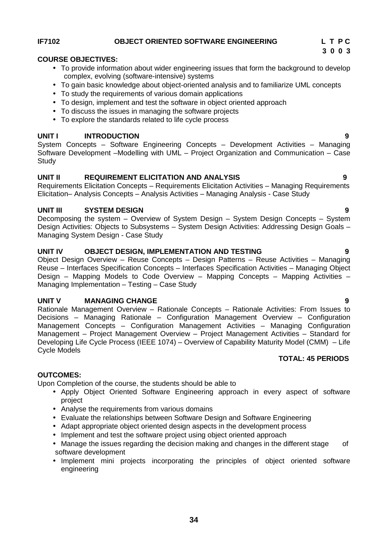# **IF7102 OBJECT ORIENTED SOFTWARE ENGINEERING L T P C**

# **COURSE OBJECTIVES:**

- To provide information about wider engineering issues that form the background to develop complex, evolving (software-intensive) systems
- To gain basic knowledge about object-oriented analysis and to familiarize UML concepts
- To study the requirements of various domain applications
- To design, implement and test the software in object oriented approach
- To discuss the issues in managing the software projects
- To explore the standards related to life cycle process

# **UNIT I INTRODUCTION 9**

System Concepts – Software Engineering Concepts – Development Activities – Managing Software Development –Modelling with UML – Project Organization and Communication – Case **Study** 

# **UNIT II REQUIREMENT ELICITATION AND ANALYSIS 9**

Requirements Elicitation Concepts – Requirements Elicitation Activities – Managing Requirements Elicitation– Analysis Concepts – Analysis Activities – Managing Analysis - Case Study

## **UNIT III SYSTEM DESIGN 9**

Decomposing the system – Overview of System Design – System Design Concepts – System Design Activities: Objects to Subsystems – System Design Activities: Addressing Design Goals – Managing System Design - Case Study

## **UNIT IV OBJECT DESIGN, IMPLEMENTATION AND TESTING 9**

Object Design Overview – Reuse Concepts – Design Patterns – Reuse Activities – Managing Reuse – Interfaces Specification Concepts – Interfaces Specification Activities – Managing Object Design – Mapping Models to Code Overview – Mapping Concepts – Mapping Activities – Managing Implementation – Testing – Case Study

### **UNIT V MANAGING CHANGE 9**

Rationale Management Overview – Rationale Concepts – Rationale Activities: From Issues to Decisions – Managing Rationale – Configuration Management Overview – Configuration Management Concepts – Configuration Management Activities – Managing Configuration Management – Project Management Overview – Project Management Activities – Standard for Developing Life Cycle Process (IEEE 1074) – Overview of Capability Maturity Model (CMM) – Life Cycle Models **TOTAL: 45 PERIODS**

### **OUTCOMES:**

Upon Completion of the course, the students should be able to

- Apply Object Oriented Software Engineering approach in every aspect of software project
- Analyse the requirements from various domains
- Evaluate the relationships between Software Design and Software Engineering
- Adapt appropriate object oriented design aspects in the development process
- Implement and test the software project using object oriented approach
- Manage the issues regarding the decision making and changes in the different stage of software development
- Implement mini projects incorporating the principles of object oriented software engineering

- 
-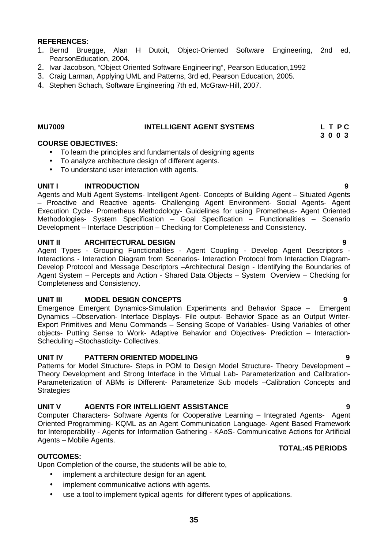- 1. Bernd Bruegge, Alan H Dutoit, Object-Oriented Software Engineering, 2nd ed, PearsonEducation, 2004.
- 2. Ivar Jacobson, "Object Oriented Software Engineering", Pearson Education,1992
- 3. Craig Larman, Applying UML and Patterns, 3rd ed, Pearson Education, 2005.
- 4. Stephen Schach, Software Engineering 7th ed, McGraw-Hill, 2007.

### **MU7009 INTELLIGENT AGENT SYSTEMS L T P C**

**3 0 0 3**

### **COURSE OBJECTIVES:**

- To learn the principles and fundamentals of designing agents
- To analyze architecture design of different agents.
- To understand user interaction with agents.

### **UNIT I INTRODUCTION 9**

Agents and Multi Agent Systems- Intelligent Agent- Concepts of Building Agent – Situated Agents – Proactive and Reactive agents- Challenging Agent Environment- Social Agents- Agent Execution Cycle- Prometheus Methodology- Guidelines for using Prometheus- Agent Oriented Methodologies- System Specification – Goal Specification – Functionalities – Scenario Development – Interface Description – Checking for Completeness and Consistency.

### **UNIT II ARCHITECTURAL DESIGN 9**

Agent Types - Grouping Functionalities - Agent Coupling - Develop Agent Descriptors - Interactions - Interaction Diagram from Scenarios- Interaction Protocol from Interaction Diagram- Develop Protocol and Message Descriptors –Architectural Design - Identifying the Boundaries of Agent System – Percepts and Action - Shared Data Objects – System Overview – Checking for Completeness and Consistency.

### **UNIT III MODEL DESIGN CONCEPTS 9**

Emergence Emergent Dynamics-Simulation Experiments and Behavior Space – Emergent Dynamics –Observation- Interface Displays- File output- Behavior Space as an Output Writer- Export Primitives and Menu Commands – Sensing Scope of Variables- Using Variables of other objects- Putting Sense to Work- Adaptive Behavior and Objectives- Prediction – Interaction- Scheduling –Stochasticity- Collectives.

### **UNIT IV PATTERN ORIENTED MODELING 9**

Patterns for Model Structure- Steps in POM to Design Model Structure- Theory Development – Theory Development and Strong Interface in the Virtual Lab- Parameterization and Calibration- Parameterization of ABMs is Different- Parameterize Sub models –Calibration Concepts and **Strategies** 

### **UNIT V AGENTS FOR INTELLIGENT ASSISTANCE 9**

Computer Characters- Software Agents for Cooperative Learning – Integrated Agents- Agent Oriented Programming- KQML as an Agent Communication Language- Agent Based Framework for Interoperability - Agents for Information Gathering - KAoS- Communicative Actions for Artificial Agents – Mobile Agents.

### **TOTAL:45 PERIODS**

### **OUTCOMES:**

Upon Completion of the course, the students will be able to,

- implement a architecture design for an agent.
- implement communicative actions with agents.
- use a tool to implement typical agents for different types of applications.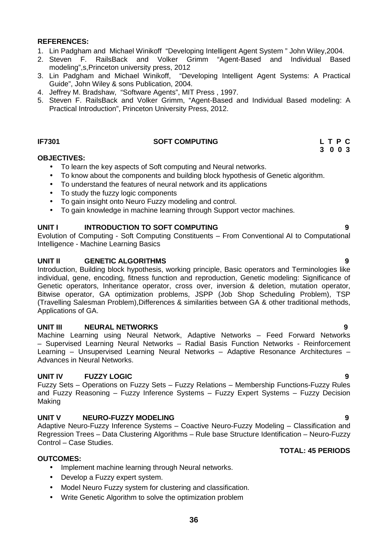- 1. Lin Padgham and Michael Winikoff "Developing Intelligent Agent System " John Wiley,2004.
- 2. Steven F. RailsBack and Volker Grimm "Agent-Based and Individual Based modeling",s,Princeton university press, 2012
- 3. Lin Padgham and Michael Winikoff, "Developing Intelligent Agent Systems: A Practical Guide", John Wiley & sons Publication, 2004.
- 4. Jeffrey M. Bradshaw, "Software Agents", MIT Press , 1997.
- 5. Steven F. RailsBack and Volker Grimm, "Agent-Based and Individual Based modeling: A Practical Introduction", Princeton University Press, 2012.

## **IF7301 SOFT COMPUTING L T P C**

**3 0 0 3**

### **OBJECTIVES:**

- To learn the key aspects of Soft computing and Neural networks.
- To know about the components and building block hypothesis of Genetic algorithm.
- To understand the features of neural network and its applications
- To study the fuzzy logic components
- To gain insight onto Neuro Fuzzy modeling and control.
- To gain knowledge in machine learning through Support vector machines.

### **UNIT I INTRODUCTION TO SOFT COMPUTING 9**

Evolution of Computing - Soft Computing Constituents – From Conventional AI to Computational Intelligence - Machine Learning Basics

### **UNIT II GENETIC ALGORITHMS 9**

Introduction, Building block hypothesis, working principle, Basic operators and Terminologies like individual, gene, encoding, fitness function and reproduction, Genetic modeling: Significance of Genetic operators, Inheritance operator, cross over, inversion & deletion, mutation operator, Bitwise operator, GA optimization problems, JSPP (Job Shop Scheduling Problem), TSP (Travelling Salesman Problem),Differences & similarities between GA & other traditional methods, Applications of GA.

### **UNIT III NEURAL NETWORKS 9**

Machine Learning using Neural Network, Adaptive Networks – Feed Forward Networks – Supervised Learning Neural Networks – Radial Basis Function Networks - Reinforcement Learning – Unsupervised Learning Neural Networks – Adaptive Resonance Architectures – Advances in Neural Networks.

### **UNIT IV FUZZY LOGIC 9**

Fuzzy Sets – Operations on Fuzzy Sets – Fuzzy Relations – Membership Functions-Fuzzy Rules and Fuzzy Reasoning – Fuzzy Inference Systems – Fuzzy Expert Systems – Fuzzy Decision Making

### **UNIT V NEURO-FUZZY MODELING 9**

Adaptive Neuro-Fuzzy Inference Systems – Coactive Neuro-Fuzzy Modeling – Classification and Regression Trees – Data Clustering Algorithms – Rule base Structure Identification – Neuro-Fuzzy Control – Case Studies.

### **TOTAL: 45 PERIODS**

### **OUTCOMES:**

- Implement machine learning through Neural networks.
- Develop a Fuzzy expert system.
- Model Neuro Fuzzy system for clustering and classification.
- Write Genetic Algorithm to solve the optimization problem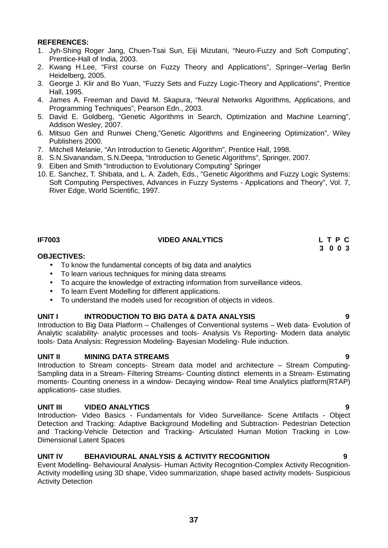- 1. Jyh-Shing Roger Jang, Chuen-Tsai Sun, Eiji Mizutani, "Neuro-Fuzzy and Soft Computing", Prentice-Hall of India, 2003.
- 2. Kwang H.Lee, "First course on Fuzzy Theory and Applications", Springer–Verlag Berlin Heidelberg, 2005.
- 3. George J. Klir and Bo Yuan, "Fuzzy Sets and Fuzzy Logic-Theory and Applications", Prentice Hall, 1995.
- 4. James A. Freeman and David M. Skapura, "Neural Networks Algorithms, Applications, and Programming Techniques", Pearson Edn., 2003.
- 5. David E. Goldberg, "Genetic Algorithms in Search, Optimization and Machine Learning", Addison Wesley, 2007.
- 6. Mitsuo Gen and Runwei Cheng,"Genetic Algorithms and Engineering Optimization", Wiley Publishers 2000.
- 7. Mitchell Melanie, "An Introduction to Genetic Algorithm", Prentice Hall, 1998.
- 8. S.N.Sivanandam, S.N.Deepa, "Introduction to Genetic Algorithms", Springer, 2007.
- 9. Eiben and Smith "Introduction to Evolutionary Computing" Springer
- 10. E. Sanchez, T. Shibata, and L. A. Zadeh, Eds., "Genetic Algorithms and Fuzzy Logic Systems: Soft Computing Perspectives, Advances in Fuzzy Systems - Applications and Theory", Vol. 7, River Edge, World Scientific, 1997.

# **IF7003 VIDEO ANALYTICS L T P C**

# **3 0 0 3**

### **OBJECTIVES:**

- To know the fundamental concepts of big data and analytics<br>• To learn various techniques for mining data streams
- To learn various techniques for mining data streams
- To acquire the knowledge of extracting information from surveillance videos.
- To learn Event Modelling for different applications.
- To understand the models used for recognition of objects in videos.

# **UNIT I INTRODUCTION TO BIG DATA & DATA ANALYSIS 9**

Introduction to Big Data Platform – Challenges of Conventional systems – Web data- Evolution of Analytic scalability- analytic processes and tools- Analysis Vs Reporting- Modern data analytic tools- Data Analysis: Regression Modeling- Bayesian Modeling- Rule induction.

### **UNIT II MINING DATA STREAMS 9**

Introduction to Stream concepts- Stream data model and architecture – Stream Computing- Sampling data in a Stream- Filtering Streams- Counting distinct elements in a Stream- Estimating moments- Counting oneness in a window- Decaying window- Real time Analytics platform(RTAP) applications- case studies.

### **UNIT III VIDEO ANALYTICS 9**

Introduction- Video Basics - Fundamentals for Video Surveillance- Scene Artifacts - Object Detection and Tracking: Adaptive Background Modelling and Subtraction- Pedestrian Detection and Tracking-Vehicle Detection and Tracking- Articulated Human Motion Tracking in Low- Dimensional Latent Spaces

# **UNIT IV BEHAVIOURAL ANALYSIS & ACTIVITY RECOGNITION 9**

Event Modelling- Behavioural Analysis- Human Activity Recognition-Complex Activity Recognition- Activity modelling using 3D shape, Video summarization, shape based activity models- Suspicious Activity Detection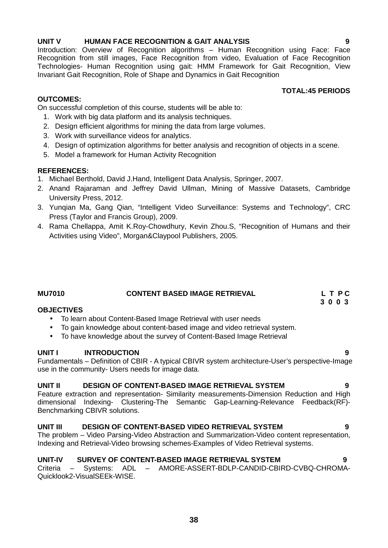# **UNIT V HUMAN FACE RECOGNITION & GAIT ANALYSIS 9**

Introduction: Overview of Recognition algorithms – Human Recognition using Face: Face Recognition from still images, Face Recognition from video, Evaluation of Face Recognition Technologies- Human Recognition using gait: HMM Framework for Gait Recognition, View Invariant Gait Recognition, Role of Shape and Dynamics in Gait Recognition

### **OUTCOMES:**

On successful completion of this course, students will be able to:

- 1. Work with big data platform and its analysis techniques.
- 2. Design efficient algorithms for mining the data from large volumes.
- 3. Work with surveillance videos for analytics.
- 4. Design of optimization algorithms for better analysis and recognition of objects in a scene.
- 5. Model a framework for Human Activity Recognition

# **REFERENCES:**

- 1. Michael Berthold, David J.Hand, Intelligent Data Analysis, Springer, 2007.
- 2. Anand Rajaraman and Jeffrey David Ullman, Mining of Massive Datasets, Cambridge University Press, 2012.
- 3. Yunqian Ma, Gang Qian, "Intelligent Video Surveillance: Systems and Technology", CRC Press (Taylor and Francis Group), 2009.
- 4. Rama Chellappa, Amit K.Roy-Chowdhury, Kevin Zhou.S, "Recognition of Humans and their Activities using Video", Morgan&Claypool Publishers, 2005.

| <b>MU7010</b> | <b>CONTENT BASED IMAGE RETRIEVAL</b> | L T PC  |
|---------------|--------------------------------------|---------|
|               |                                      | 3 0 0 3 |

### **OBJECTIVES**

- To learn about Content-Based Image Retrieval with user needs
- To gain knowledge about content-based image and video retrieval system.
- To have knowledge about the survey of Content-Based Image Retrieval

# **UNIT I INTRODUCTION 9**

Fundamentals – Definition of CBIR - A typical CBIVR system architecture-User's perspective-Image use in the community- Users needs for image data.

### **UNIT II DESIGN OF CONTENT-BASED IMAGE RETRIEVAL SYSTEM 9**

Feature extraction and representation- Similarity measurements-Dimension Reduction and High dimensional Indexing- Clustering-The Semantic Gap-Learning-Relevance Feedback(RF)- Benchmarking CBIVR solutions.

# **UNIT III DESIGN OF CONTENT-BASED VIDEO RETRIEVAL SYSTEM 9**

The problem – Video Parsing-Video Abstraction and Summarization-Video content representation, Indexing and Retrieval-Video browsing schemes-Examples of Video Retrieval systems.

# **UNIT-IV SURVEY OF CONTENT-BASED IMAGE RETRIEVAL SYSTEM 9**

Systems: ADL – AMORE-ASSERT-BDLP-CANDID-CBIRD-CVBQ-CHROMA-Quicklook2-VisualSEEk-WISE.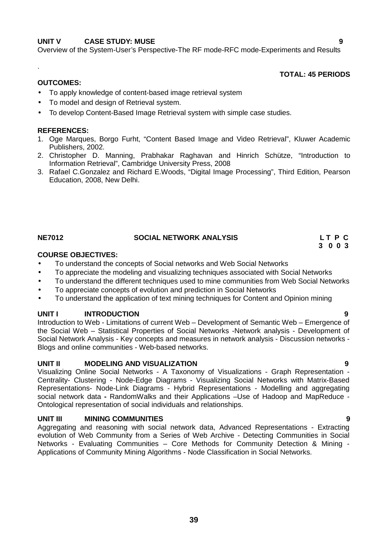### **UNIT V CASE STUDY: MUSE 9**

Overview of the System-User's Perspective-The RF mode-RFC mode-Experiments and Results

### **TOTAL: 45 PERIODS**

### **OUTCOMES:**

.

- To apply knowledge of content-based image retrieval system
- To model and design of Retrieval system.
- To develop Content-Based Image Retrieval system with simple case studies.

### **REFERENCES:**

- 1. Oge Marques, Borgo Furht, "Content Based Image and Video Retrieval", Kluwer Academic Publishers, 2002.
- 2. Christopher D. Manning, Prabhakar Raghavan and Hinrich Schütze, "Introduction to Information Retrieval", Cambridge University Press, 2008
- 3. Rafael C.Gonzalez and Richard E.Woods, "Digital Image Processing", Third Edition, Pearson Education, 2008, New Delhi.

# **NE7012 SOCIAL NETWORK ANALYSIS L T P C**

# **COURSE OBJECTIVES:**

- To understand the concepts of Social networks and Web Social Networks
- To appreciate the modeling and visualizing techniques associated with Social Networks
- To understand the different techniques used to mine communities from Web Social Networks
- To appreciate concepts of evolution and prediction in Social Networks
- To understand the application of text mining techniques for Content and Opinion mining

### **UNIT I INTRODUCTION 9**

Introduction to Web - Limitations of current Web – Development of Semantic Web – Emergence of the Social Web – Statistical Properties of Social Networks -Network analysis - Development of Social Network Analysis - Key concepts and measures in network analysis - Discussion networks - Blogs and online communities - Web-based networks.

### **UNIT II MODELING AND VISUALIZATION 9**

Visualizing Online Social Networks - A Taxonomy of Visualizations - Graph Representation - Centrality- Clustering - Node-Edge Diagrams - Visualizing Social Networks with Matrix-Based Representations- Node-Link Diagrams - Hybrid Representations - Modelling and aggregating social network data **-** RandomWalks and their Applications –Use of Hadoop and MapReduce - Ontological representation of social individuals and relationships.

### **UNIT III MINING COMMUNITIES 9**

Aggregating and reasoning with social network data, Advanced Representations - Extracting evolution of Web Community from a Series of Web Archive - Detecting Communities in Social Networks - Evaluating Communities – Core Methods for Community Detection & Mining - Applications of Community Mining Algorithms - Node Classification in Social Networks.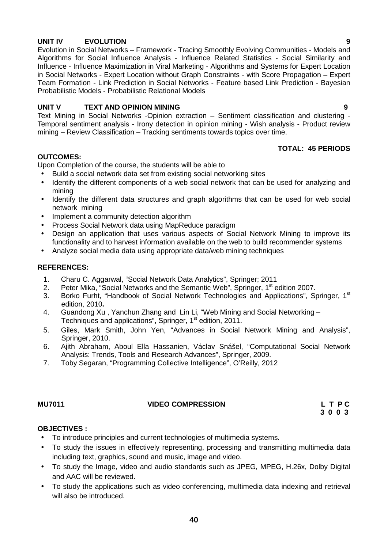# **UNIT IV EVOLUTION 9**

Evolution in Social Networks – Framework - Tracing Smoothly Evolving Communities - Models and Algorithms for Social Influence Analysis - Influence Related Statistics - Social Similarity and Influence - Influence Maximization in Viral Marketing - Algorithms and Systems for Expert Location in Social Networks - Expert Location without Graph Constraints - with Score Propagation – Expert Team Formation - Link Prediction in Social Networks - Feature based Link Prediction - Bayesian Probabilistic Models - Probabilistic Relational Models

## **UNIT V TEXT AND OPINION MINING 9**

Text Mining in Social Networks -Opinion extraction – Sentiment classification and clustering - Temporal sentiment analysis - Irony detection in opinion mining - Wish analysis - Product review mining – Review Classification – Tracking sentiments towards topics over time.

### **OUTCOMES:**

Upon Completion of the course, the students will be able to

- Build a social network data set from existing social networking sites
- Identify the different components of a web social network that can be used for analyzing and mining
- Identify the different data structures and graph algorithms that can be used for web social network mining
- Implement a community detection algorithm
- Process Social Network data using MapReduce paradigm
- Design an application that uses various aspects of Social Network Mining to improve its functionality and to harvest information available on the web to build recommender systems
- Analyze social media data using appropriate data/web mining techniques

## **REFERENCES:**

- 1. Charu C. Aggarwal, "Social Network Data Analytics", Springer; 2011
- 2. Peter Mika, "Social Networks and the Semantic Web", Springer, 1<sup>st</sup> edition 2007.
- 3. Borko Furht, "Handbook of Social Network Technologies and Applications", Springer, 1st edition, 2010**.**
- 4. Guandong Xu , Yanchun Zhang and Lin Li, "Web Mining and Social Networking Techniques and applications", Springer, 1<sup>st</sup> edition, 2011.
- 5. Giles, Mark Smith, John Yen, "Advances in Social Network Mining and Analysis", Springer, 2010.
- 6. Ajith Abraham, Aboul Ella Hassanien, Václav Snášel, "Computational Social Network Analysis: Trends, Tools and Research Advances", Springer, 2009.
- 7. Toby Segaran, "Programming Collective Intelligence", O'Reilly, 2012

### **MU7011 VIDEO COMPRESSION L T P C**

**3 0 0 3**

# **OBJECTIVES :**

- To introduce principles and current technologies of multimedia systems.
- To study the issues in effectively representing, processing and transmitting multimedia data including text, graphics, sound and music, image and video.
- To study the Image, video and audio standards such as JPEG, MPEG, H.26x, Dolby Digital and AAC will be reviewed.
- To study the applications such as video conferencing, multimedia data indexing and retrieval will also be introduced.